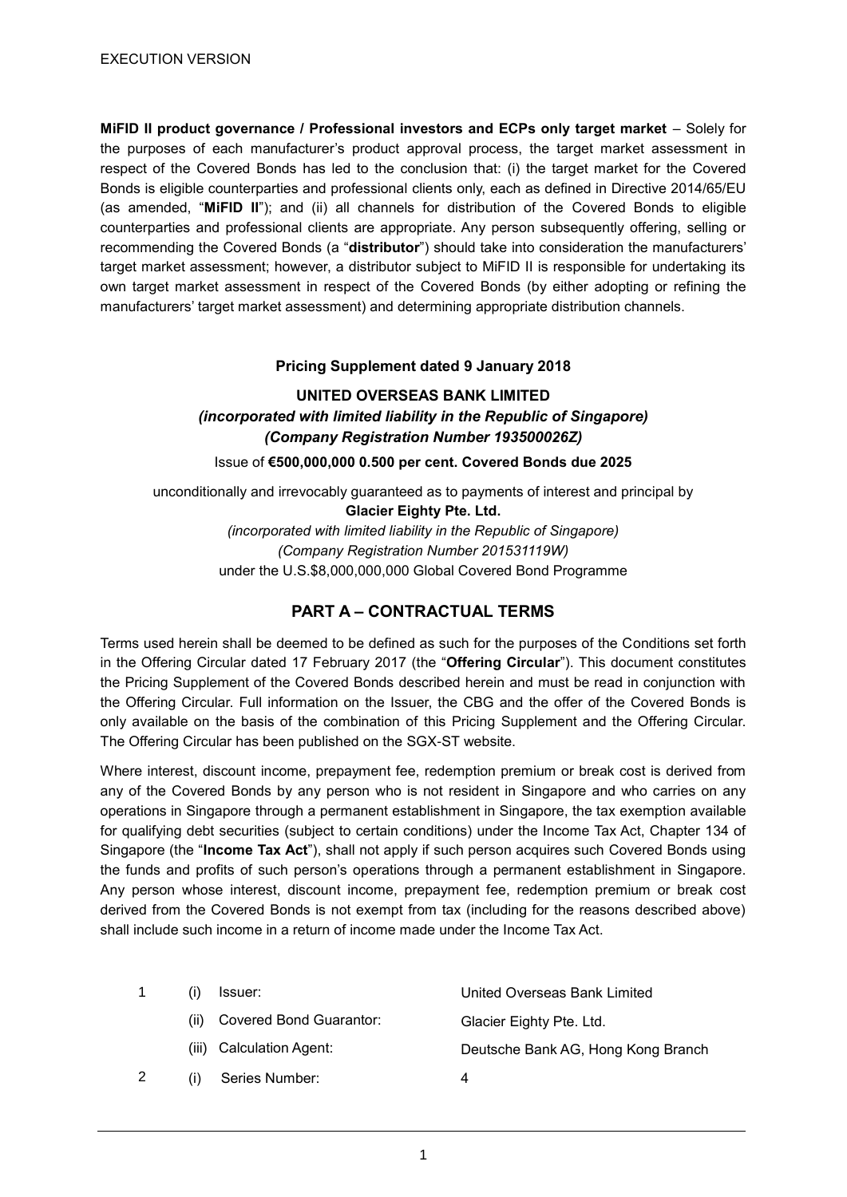**MiFID II product governance / Professional investors and ECPs only target market** – Solely for the purposes of each manufacturer's product approval process, the target market assessment in respect of the Covered Bonds has led to the conclusion that: (i) the target market for the Covered Bonds is eligible counterparties and professional clients only, each as defined in Directive 2014/65/EU (as amended, "**MiFID II**"); and (ii) all channels for distribution of the Covered Bonds to eligible counterparties and professional clients are appropriate. Any person subsequently offering, selling or recommending the Covered Bonds (a "**distributor**") should take into consideration the manufacturers' target market assessment; however, a distributor subject to MiFID II is responsible for undertaking its own target market assessment in respect of the Covered Bonds (by either adopting or refining the manufacturers' target market assessment) and determining appropriate distribution channels.

# **Pricing Supplement dated 9 January 2018**

# **UNITED OVERSEAS BANK LIMITED** *(incorporated with limited liability in the Republic of Singapore) (Company Registration Number 193500026Z)*

Issue of **€500,000,000 0.500 per cent. Covered Bonds due 2025**

unconditionally and irrevocably guaranteed as to payments of interest and principal by **Glacier Eighty Pte. Ltd.**

> *(incorporated with limited liability in the Republic of Singapore) (Company Registration Number 201531119W)* under the U.S.\$8,000,000,000 Global Covered Bond Programme

# **PART A – CONTRACTUAL TERMS**

Terms used herein shall be deemed to be defined as such for the purposes of the Conditions set forth in the Offering Circular dated 17 February 2017 (the "**Offering Circular**"). This document constitutes the Pricing Supplement of the Covered Bonds described herein and must be read in conjunction with the Offering Circular. Full information on the Issuer, the CBG and the offer of the Covered Bonds is only available on the basis of the combination of this Pricing Supplement and the Offering Circular. The Offering Circular has been published on the SGX-ST website.

Where interest, discount income, prepayment fee, redemption premium or break cost is derived from any of the Covered Bonds by any person who is not resident in Singapore and who carries on any operations in Singapore through a permanent establishment in Singapore, the tax exemption available for qualifying debt securities (subject to certain conditions) under the Income Tax Act, Chapter 134 of Singapore (the "**Income Tax Act**"), shall not apply if such person acquires such Covered Bonds using the funds and profits of such person's operations through a permanent establishment in Singapore. Any person whose interest, discount income, prepayment fee, redemption premium or break cost derived from the Covered Bonds is not exempt from tax (including for the reasons described above) shall include such income in a return of income made under the Income Tax Act.

|                                 | Issuer:                        | United Overseas Bank Limited       |
|---------------------------------|--------------------------------|------------------------------------|
| (ii)                            | <b>Covered Bond Guarantor:</b> | Glacier Eighty Pte. Ltd.           |
|                                 | (iii) Calculation Agent:       | Deutsche Bank AG, Hong Kong Branch |
| $\left( \left  \right  \right)$ | Series Number:                 | 4                                  |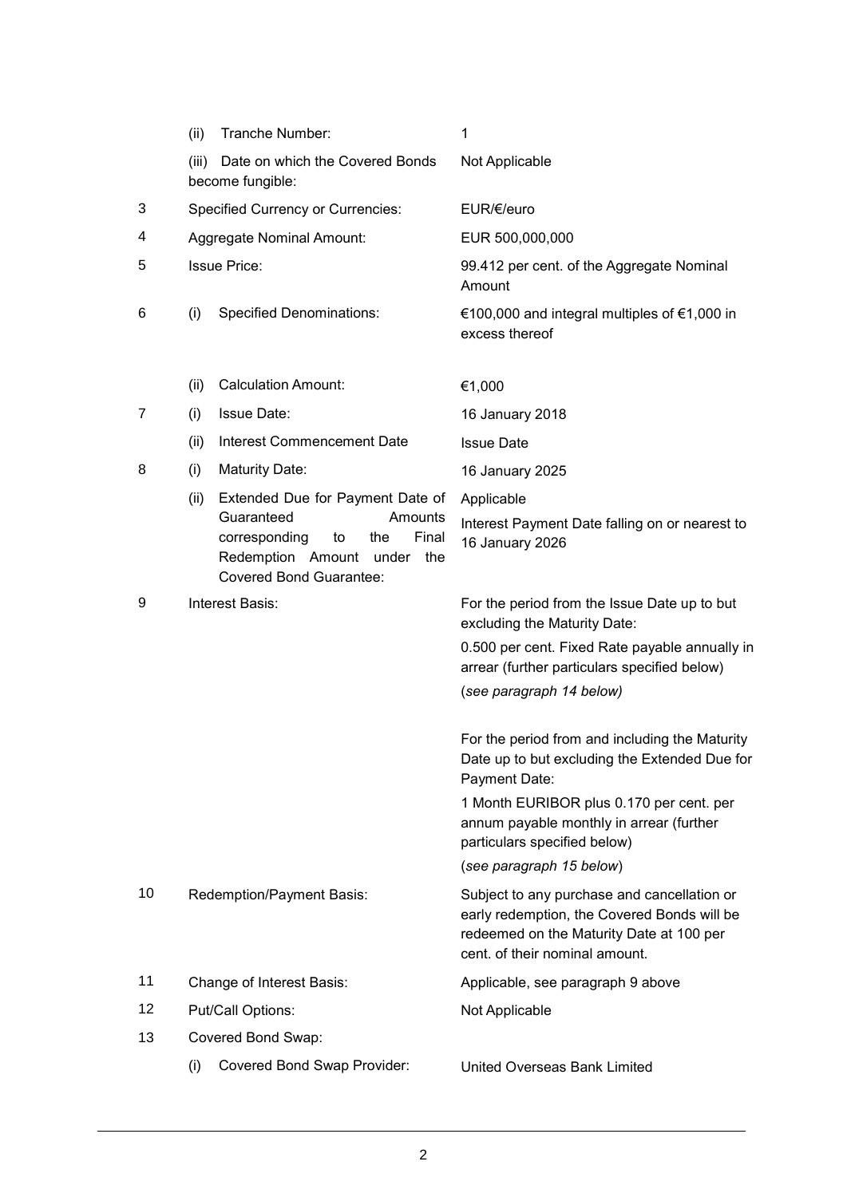|    | (ii)  | Tranche Number:                                                                                                                                                      | 1                                                                                                                                                                        |
|----|-------|----------------------------------------------------------------------------------------------------------------------------------------------------------------------|--------------------------------------------------------------------------------------------------------------------------------------------------------------------------|
|    | (iii) | Date on which the Covered Bonds<br>become fungible:                                                                                                                  | Not Applicable                                                                                                                                                           |
| 3  |       | <b>Specified Currency or Currencies:</b>                                                                                                                             | EUR/€/euro                                                                                                                                                               |
| 4  |       | <b>Aggregate Nominal Amount:</b>                                                                                                                                     | EUR 500,000,000                                                                                                                                                          |
| 5  |       | <b>Issue Price:</b>                                                                                                                                                  | 99.412 per cent. of the Aggregate Nominal<br>Amount                                                                                                                      |
| 6  | (i)   | <b>Specified Denominations:</b>                                                                                                                                      | €100,000 and integral multiples of €1,000 in<br>excess thereof                                                                                                           |
|    | (ii)  | <b>Calculation Amount:</b>                                                                                                                                           | €1,000                                                                                                                                                                   |
| 7  | (i)   | <b>Issue Date:</b>                                                                                                                                                   | 16 January 2018                                                                                                                                                          |
|    | (ii)  | Interest Commencement Date                                                                                                                                           | <b>Issue Date</b>                                                                                                                                                        |
| 8  | (i)   | <b>Maturity Date:</b>                                                                                                                                                | 16 January 2025                                                                                                                                                          |
|    | (ii)  | Extended Due for Payment Date of<br>Guaranteed<br>Amounts<br>corresponding<br>to<br>Final<br>the<br>Redemption Amount under<br>the<br><b>Covered Bond Guarantee:</b> | Applicable<br>Interest Payment Date falling on or nearest to<br>16 January 2026                                                                                          |
| 9  |       | Interest Basis:                                                                                                                                                      | For the period from the Issue Date up to but<br>excluding the Maturity Date:                                                                                             |
|    |       |                                                                                                                                                                      | 0.500 per cent. Fixed Rate payable annually in<br>arrear (further particulars specified below)<br>(see paragraph 14 below)                                               |
|    |       |                                                                                                                                                                      | For the period from and including the Maturity<br>Date up to but excluding the Extended Due for<br>Payment Date:                                                         |
|    |       |                                                                                                                                                                      | 1 Month EURIBOR plus 0.170 per cent. per<br>annum payable monthly in arrear (further<br>particulars specified below)                                                     |
|    |       |                                                                                                                                                                      | (see paragraph 15 below)                                                                                                                                                 |
| 10 |       | Redemption/Payment Basis:                                                                                                                                            | Subject to any purchase and cancellation or<br>early redemption, the Covered Bonds will be<br>redeemed on the Maturity Date at 100 per<br>cent. of their nominal amount. |
| 11 |       | Change of Interest Basis:                                                                                                                                            | Applicable, see paragraph 9 above                                                                                                                                        |
| 12 |       | Put/Call Options:                                                                                                                                                    | Not Applicable                                                                                                                                                           |
| 13 |       | Covered Bond Swap:                                                                                                                                                   |                                                                                                                                                                          |
|    | (i)   | Covered Bond Swap Provider:                                                                                                                                          | United Overseas Bank Limited                                                                                                                                             |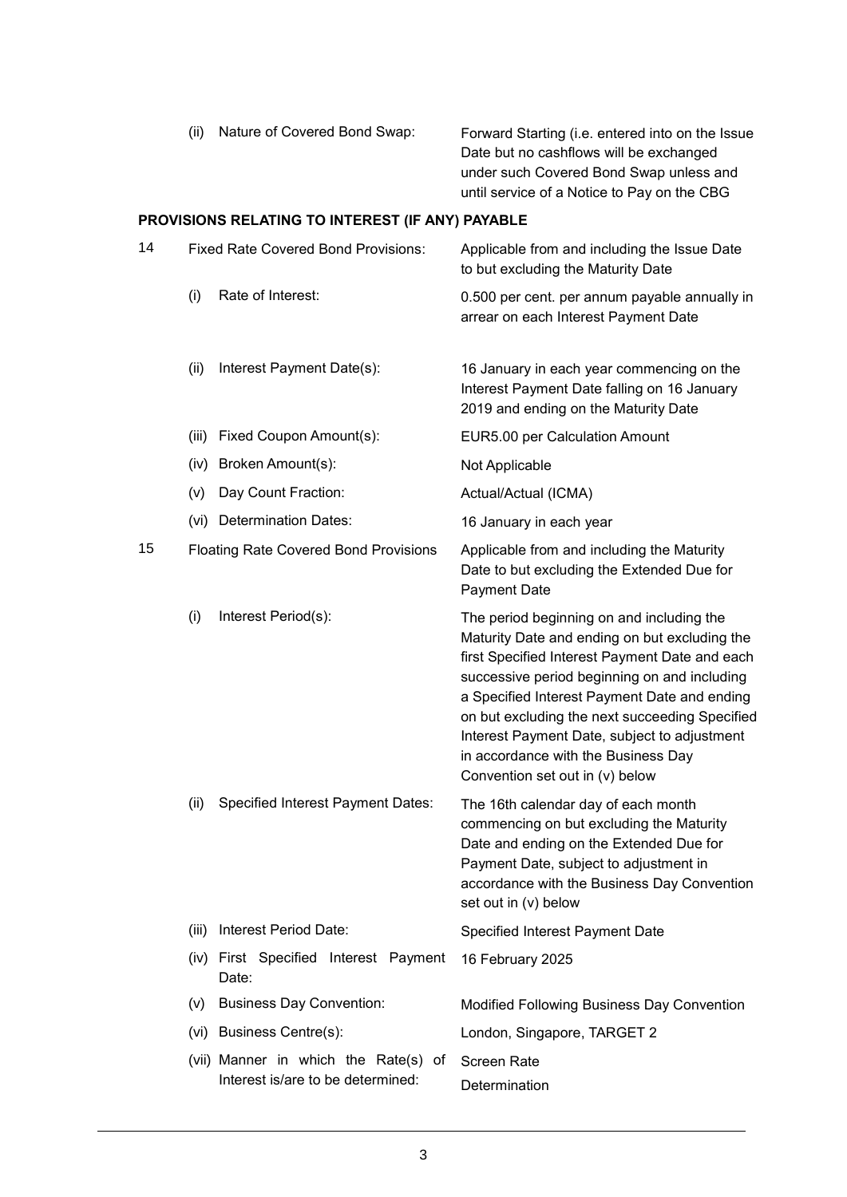| Nature of Covered Bond Swap:<br>(ii) | Forward Starting (i.e. entered into on the Issue |
|--------------------------------------|--------------------------------------------------|
|                                      | Date but no cashflows will be exchanged          |
|                                      | under such Covered Bond Swap unless and          |
|                                      | until service of a Notice to Pay on the CBG      |

# **PROVISIONS RELATING TO INTEREST (IF ANY) PAYABLE**

| 14 |                                              | <b>Fixed Rate Covered Bond Provisions:</b>     | Applicable from and including the Issue Date<br>to but excluding the Maturity Date                                                                                                                                                                                                                                                                                                                                       |
|----|----------------------------------------------|------------------------------------------------|--------------------------------------------------------------------------------------------------------------------------------------------------------------------------------------------------------------------------------------------------------------------------------------------------------------------------------------------------------------------------------------------------------------------------|
|    | (i)                                          | Rate of Interest:                              | 0.500 per cent. per annum payable annually in<br>arrear on each Interest Payment Date                                                                                                                                                                                                                                                                                                                                    |
|    | (ii)                                         | Interest Payment Date(s):                      | 16 January in each year commencing on the<br>Interest Payment Date falling on 16 January<br>2019 and ending on the Maturity Date                                                                                                                                                                                                                                                                                         |
|    | (iii)                                        | Fixed Coupon Amount(s):                        | EUR5.00 per Calculation Amount                                                                                                                                                                                                                                                                                                                                                                                           |
|    | (iv)                                         | Broken Amount(s):                              | Not Applicable                                                                                                                                                                                                                                                                                                                                                                                                           |
|    | (v)                                          | Day Count Fraction:                            | Actual/Actual (ICMA)                                                                                                                                                                                                                                                                                                                                                                                                     |
|    |                                              | (vi) Determination Dates:                      | 16 January in each year                                                                                                                                                                                                                                                                                                                                                                                                  |
| 15 | <b>Floating Rate Covered Bond Provisions</b> |                                                | Applicable from and including the Maturity<br>Date to but excluding the Extended Due for<br><b>Payment Date</b>                                                                                                                                                                                                                                                                                                          |
|    | (i)                                          | Interest Period(s):                            | The period beginning on and including the<br>Maturity Date and ending on but excluding the<br>first Specified Interest Payment Date and each<br>successive period beginning on and including<br>a Specified Interest Payment Date and ending<br>on but excluding the next succeeding Specified<br>Interest Payment Date, subject to adjustment<br>in accordance with the Business Day<br>Convention set out in (v) below |
|    | (ii)                                         | Specified Interest Payment Dates:              | The 16th calendar day of each month<br>commencing on but excluding the Maturity<br>Date and ending on the Extended Due for<br>Payment Date, subject to adjustment in<br>accordance with the Business Day Convention<br>set out in (v) below                                                                                                                                                                              |
|    | (iii)                                        | Interest Period Date:                          | Specified Interest Payment Date                                                                                                                                                                                                                                                                                                                                                                                          |
|    |                                              | (iv) First Specified Interest Payment<br>Date: | 16 February 2025                                                                                                                                                                                                                                                                                                                                                                                                         |
|    | (v)                                          | <b>Business Day Convention:</b>                | Modified Following Business Day Convention                                                                                                                                                                                                                                                                                                                                                                               |
|    |                                              | (vi) Business Centre(s):                       | London, Singapore, TARGET 2                                                                                                                                                                                                                                                                                                                                                                                              |
|    |                                              | (vii) Manner in which the Rate(s) of           | <b>Screen Rate</b>                                                                                                                                                                                                                                                                                                                                                                                                       |
|    |                                              | Interest is/are to be determined:              | Determination                                                                                                                                                                                                                                                                                                                                                                                                            |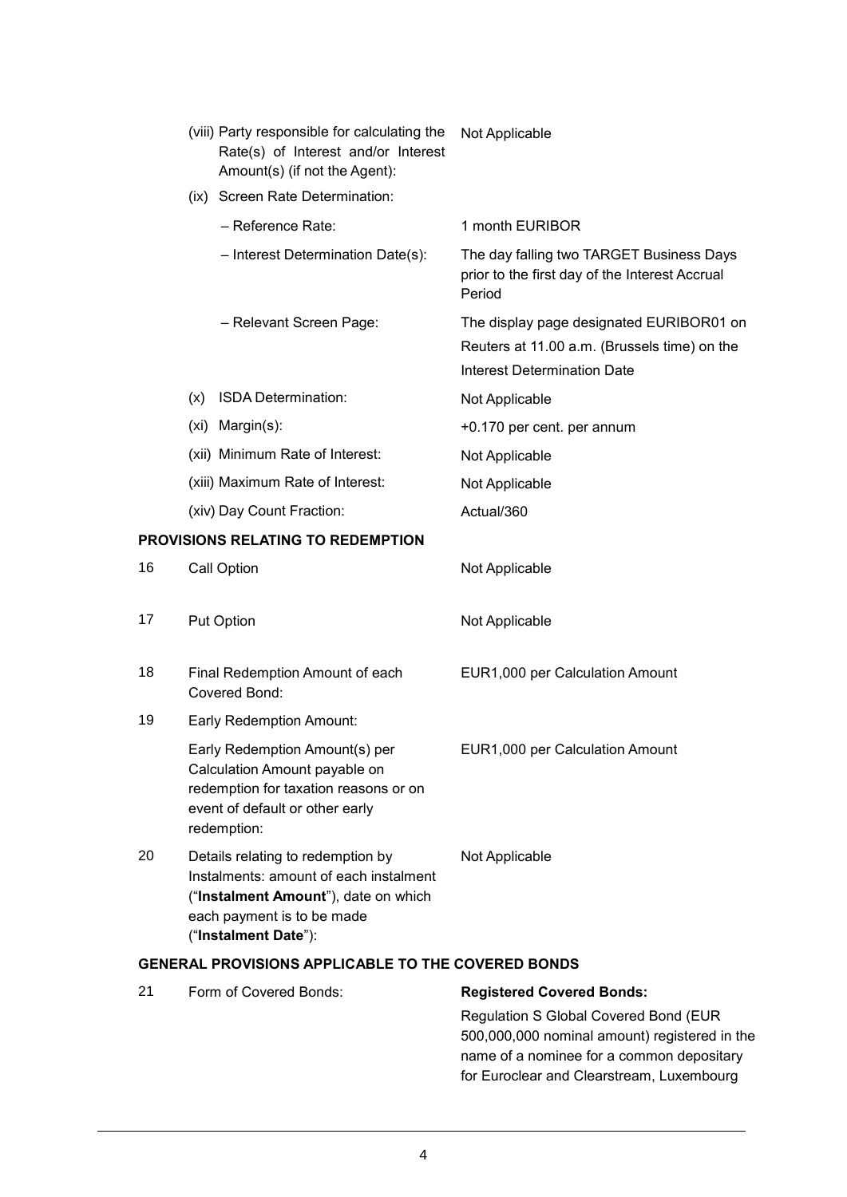|    |     | (viii) Party responsible for calculating the<br>Rate(s) of Interest and/or Interest<br>Amount(s) (if not the Agent):                                                      | Not Applicable                                                                                                                      |
|----|-----|---------------------------------------------------------------------------------------------------------------------------------------------------------------------------|-------------------------------------------------------------------------------------------------------------------------------------|
|    |     | (ix) Screen Rate Determination:                                                                                                                                           |                                                                                                                                     |
|    |     | - Reference Rate:                                                                                                                                                         | 1 month EURIBOR                                                                                                                     |
|    |     | - Interest Determination Date(s):                                                                                                                                         | The day falling two TARGET Business Days<br>prior to the first day of the Interest Accrual<br>Period                                |
|    |     | - Relevant Screen Page:                                                                                                                                                   | The display page designated EURIBOR01 on<br>Reuters at 11.00 a.m. (Brussels time) on the<br><b>Interest Determination Date</b>      |
|    | (x) | ISDA Determination:                                                                                                                                                       | Not Applicable                                                                                                                      |
|    |     | (xi) Margin(s):                                                                                                                                                           | +0.170 per cent. per annum                                                                                                          |
|    |     | (xii) Minimum Rate of Interest:                                                                                                                                           | Not Applicable                                                                                                                      |
|    |     | (xiii) Maximum Rate of Interest:                                                                                                                                          | Not Applicable                                                                                                                      |
|    |     | (xiv) Day Count Fraction:                                                                                                                                                 | Actual/360                                                                                                                          |
|    |     | PROVISIONS RELATING TO REDEMPTION                                                                                                                                         |                                                                                                                                     |
| 16 |     | Call Option                                                                                                                                                               | Not Applicable                                                                                                                      |
| 17 |     | <b>Put Option</b>                                                                                                                                                         | Not Applicable                                                                                                                      |
| 18 |     | Final Redemption Amount of each<br>Covered Bond:                                                                                                                          | EUR1,000 per Calculation Amount                                                                                                     |
| 19 |     | Early Redemption Amount:                                                                                                                                                  |                                                                                                                                     |
|    |     | Early Redemption Amount(s) per<br>Calculation Amount payable on<br>redemption for taxation reasons or on<br>event of default or other early<br>redemption:                | EUR1,000 per Calculation Amount                                                                                                     |
| 20 |     | Details relating to redemption by<br>Instalments: amount of each instalment<br>("Instalment Amount"), date on which<br>each payment is to be made<br>("Instalment Date"): | Not Applicable                                                                                                                      |
|    |     | <b>GENERAL PROVISIONS APPLICABLE TO THE COVERED BONDS</b>                                                                                                                 |                                                                                                                                     |
| 21 |     | Form of Covered Bonds:                                                                                                                                                    | <b>Registered Covered Bonds:</b>                                                                                                    |
|    |     |                                                                                                                                                                           | Regulation S Global Covered Bond (EUR<br>500,000,000 nominal amount) registered in the<br>name of a nominee for a common depositary |

for Euroclear and Clearstream, Luxembourg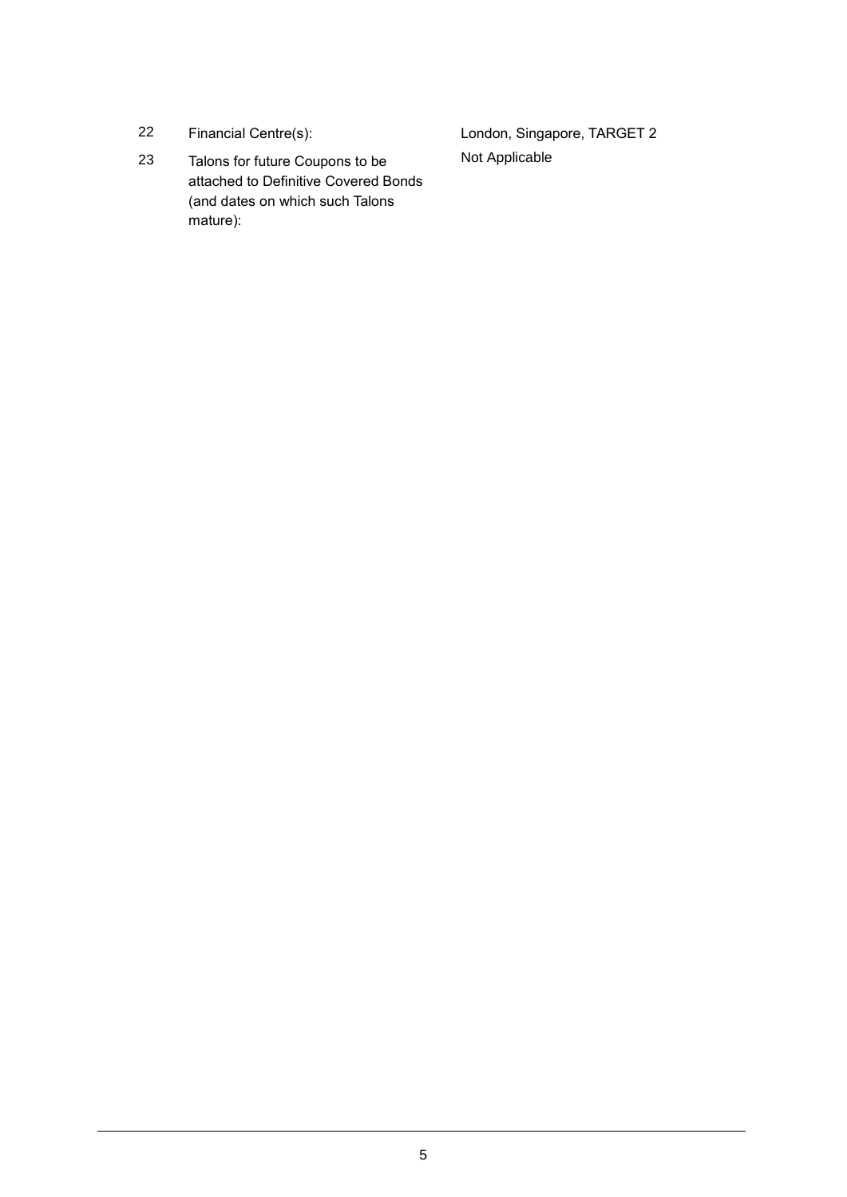- 
- 23 Talons for future Coupons to be attached to Definitive Covered Bonds (and dates on which such Talons mature):

22 Financial Centre(s): London, Singapore, TARGET 2 Not Applicable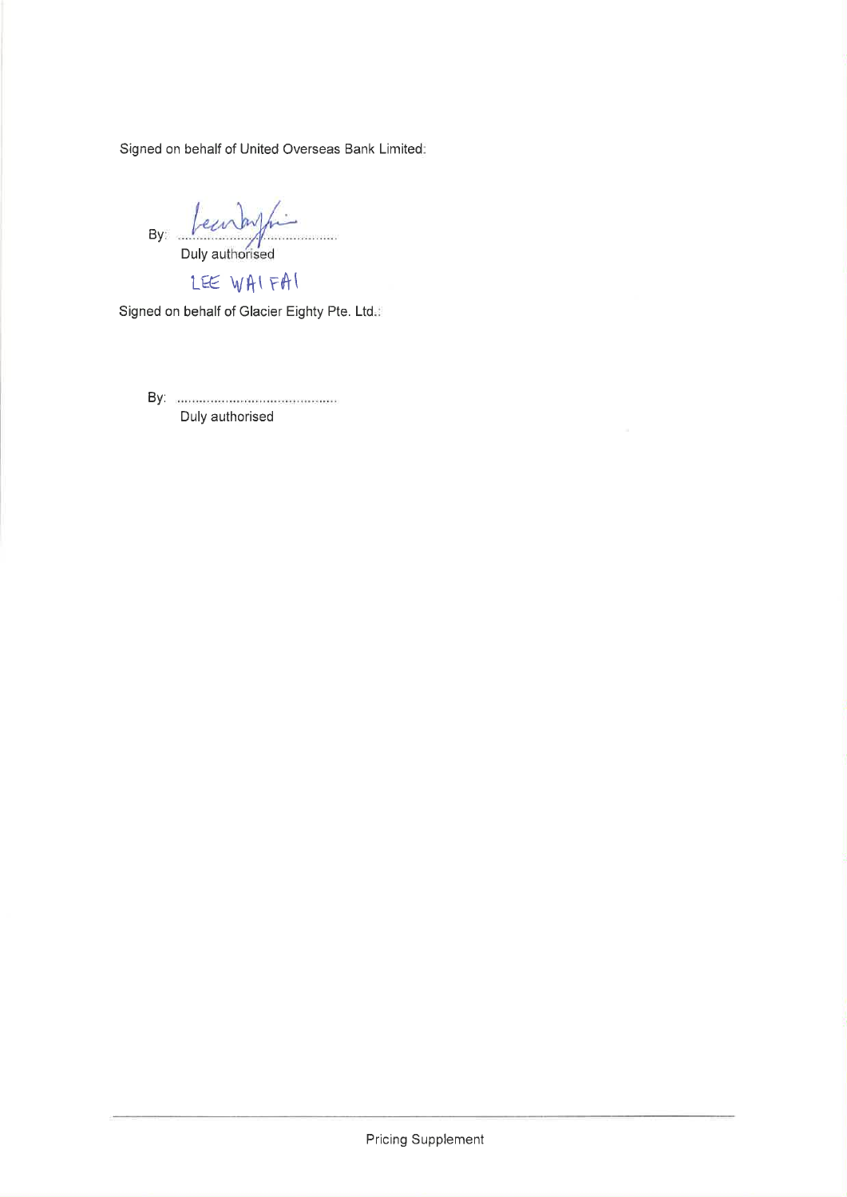Signed on behalf of United Overseas Bank Limited:

By: *Leewbyfing* 

LEE WAIFAI

Signed on behalf of Glacier Eighty Pte. Ltd.

By: marketing and compared and contact the settlement of the settlement of the settlement of the set Duly authorised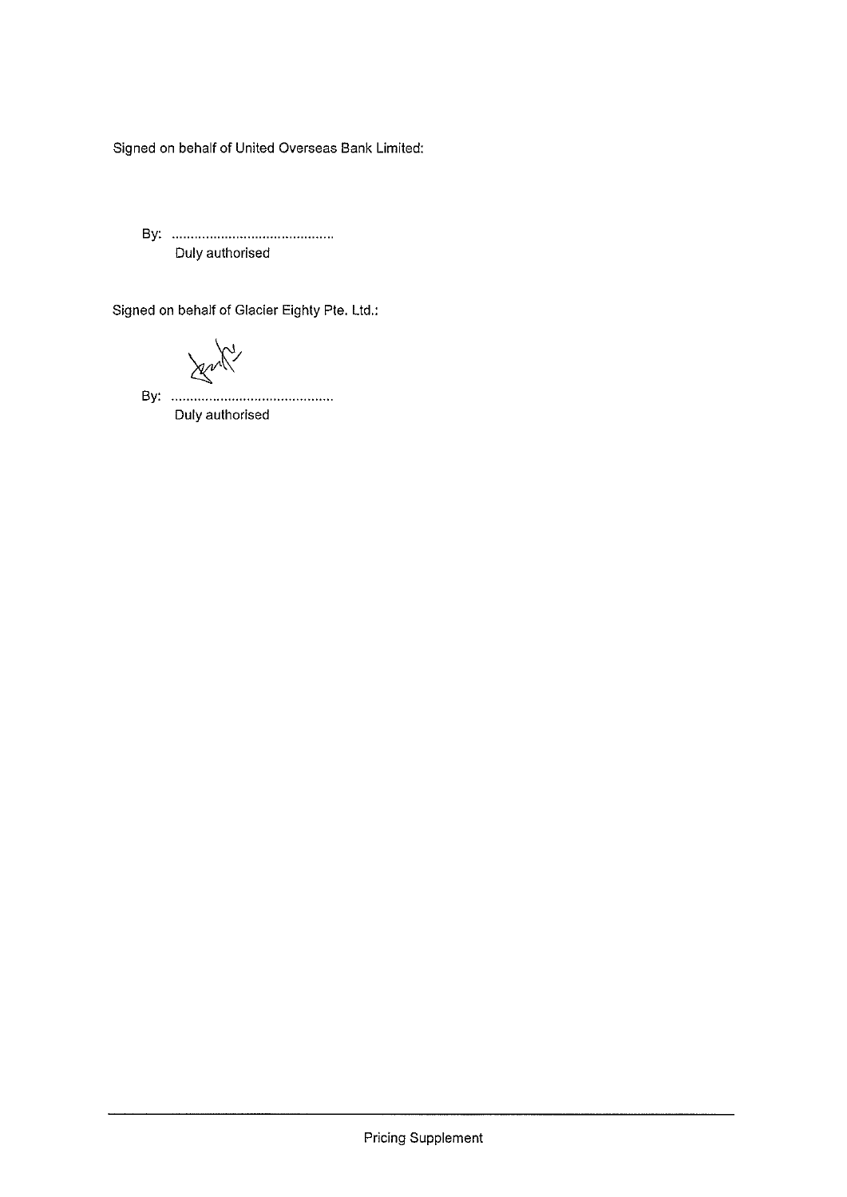Signed on behalf of United Overseas Bank Limited:

Duly authorised

Signed on behalf of Glacier Eighty Pte. Ltd.:

Jenny

Duly authorised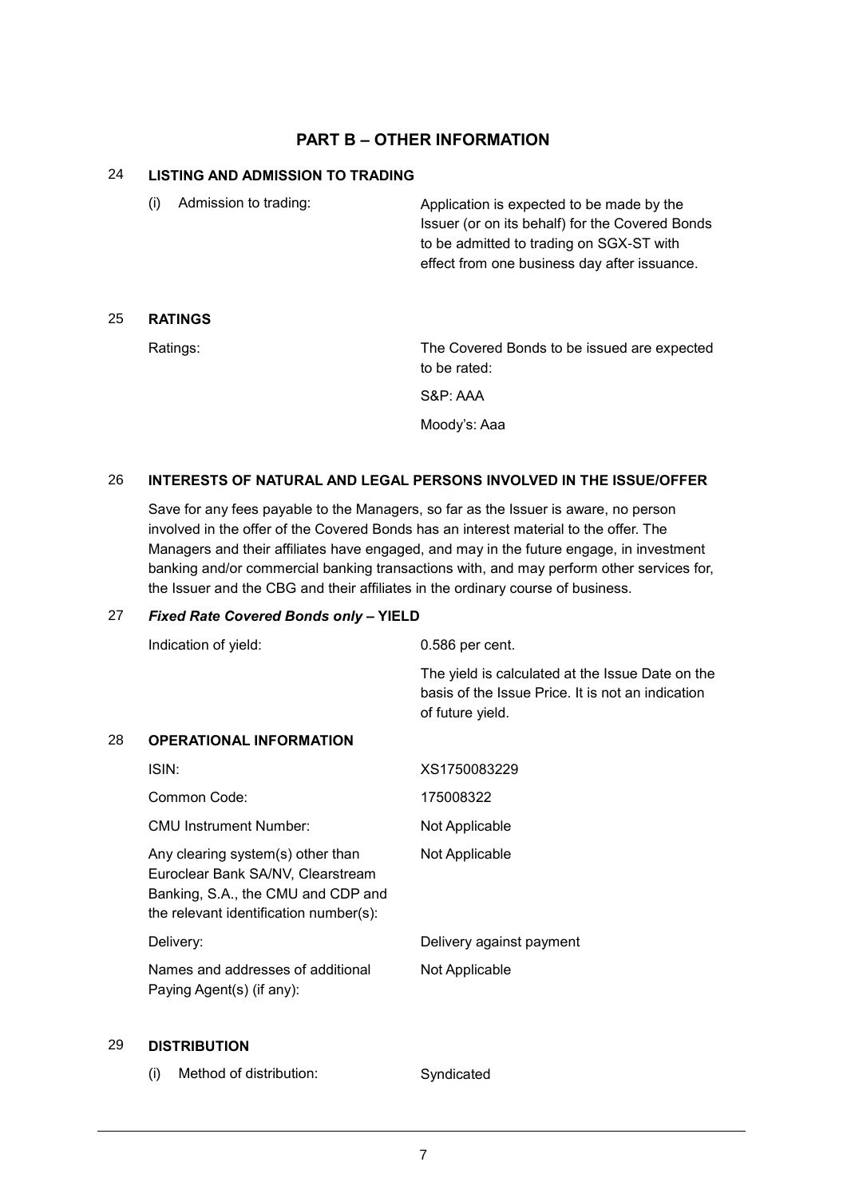# **PART B – OTHER INFORMATION**

# 24 **LISTING AND ADMISSION TO TRADING**

(i) Admission to trading: Application is expected to be made by the Issuer (or on its behalf) for the Covered Bonds to be admitted to trading on SGX-ST with effect from one business day after issuance.

## 25 **RATINGS**

Ratings: The Covered Bonds to be issued are expected to be rated:

S&P: AAA

Moody's: Aaa

# 26 **INTERESTS OF NATURAL AND LEGAL PERSONS INVOLVED IN THE ISSUE/OFFER**

Save for any fees payable to the Managers, so far as the Issuer is aware, no person involved in the offer of the Covered Bonds has an interest material to the offer. The Managers and their affiliates have engaged, and may in the future engage, in investment banking and/or commercial banking transactions with, and may perform other services for, the Issuer and the CBG and their affiliates in the ordinary course of business.

#### 27 *Fixed Rate Covered Bonds only* **– YIELD**

|    | Indication of yield:                                                                                                                                   | 0.586 per cent.                                                                                                           |
|----|--------------------------------------------------------------------------------------------------------------------------------------------------------|---------------------------------------------------------------------------------------------------------------------------|
|    |                                                                                                                                                        | The yield is calculated at the Issue Date on the<br>basis of the Issue Price. It is not an indication<br>of future yield. |
| 28 | <b>OPERATIONAL INFORMATION</b>                                                                                                                         |                                                                                                                           |
|    | ISIN:                                                                                                                                                  | XS1750083229                                                                                                              |
|    | Common Code:                                                                                                                                           | 175008322                                                                                                                 |
|    | <b>CMU Instrument Number:</b>                                                                                                                          | Not Applicable                                                                                                            |
|    | Any clearing system(s) other than<br>Euroclear Bank SA/NV, Clearstream<br>Banking, S.A., the CMU and CDP and<br>the relevant identification number(s): | Not Applicable                                                                                                            |
|    | Delivery:                                                                                                                                              | Delivery against payment                                                                                                  |
|    | Names and addresses of additional<br>Paying Agent(s) (if any):                                                                                         | Not Applicable                                                                                                            |

#### 29 **DISTRIBUTION**

(i) Method of distribution: Syndicated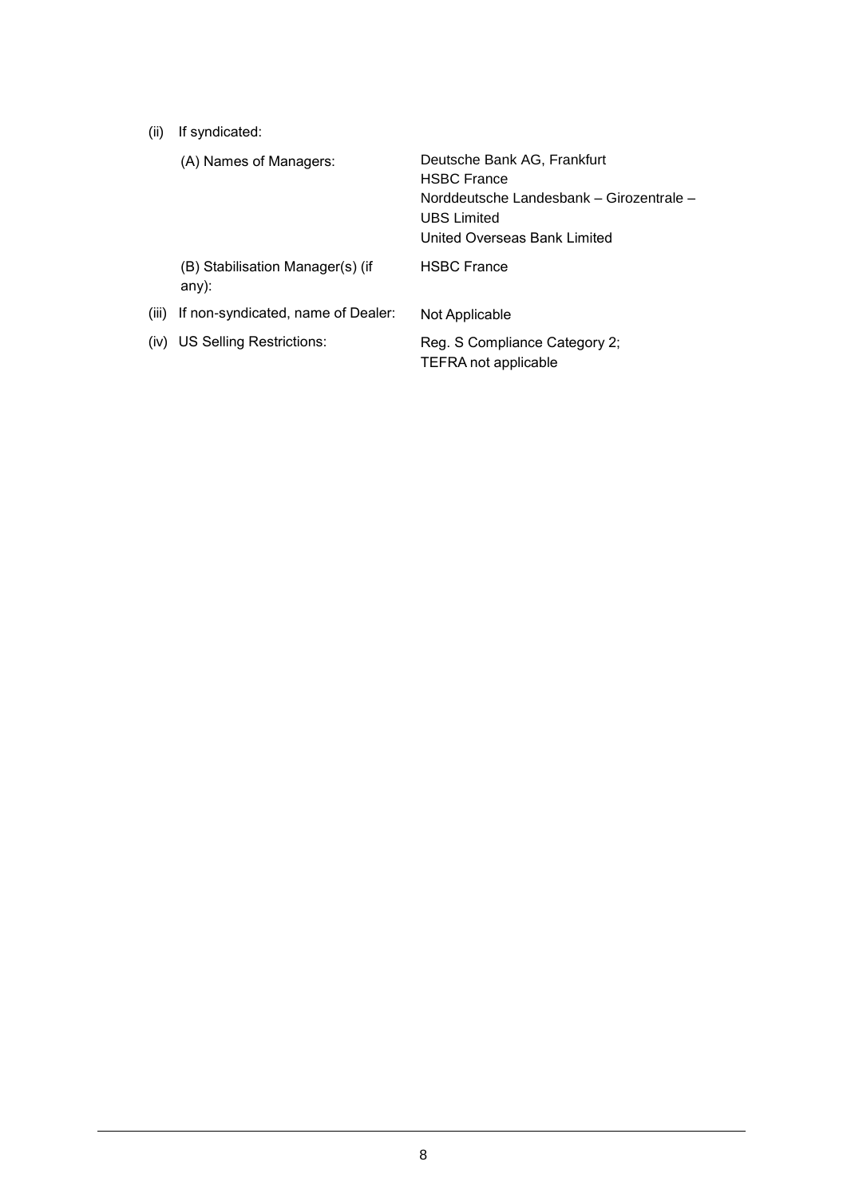(ii) If syndicated:

|       | (A) Names of Managers:                    | Deutsche Bank AG, Frankfurt<br><b>HSBC France</b><br>Norddeutsche Landesbank - Girozentrale -<br><b>UBS</b> Limited<br>United Overseas Bank Limited |  |
|-------|-------------------------------------------|-----------------------------------------------------------------------------------------------------------------------------------------------------|--|
|       | (B) Stabilisation Manager(s) (if<br>any): | <b>HSBC France</b>                                                                                                                                  |  |
| (iii) | If non-syndicated, name of Dealer:        | Not Applicable                                                                                                                                      |  |
|       | (iv) US Selling Restrictions:             | Reg. S Compliance Category 2;<br>TEFRA not applicable                                                                                               |  |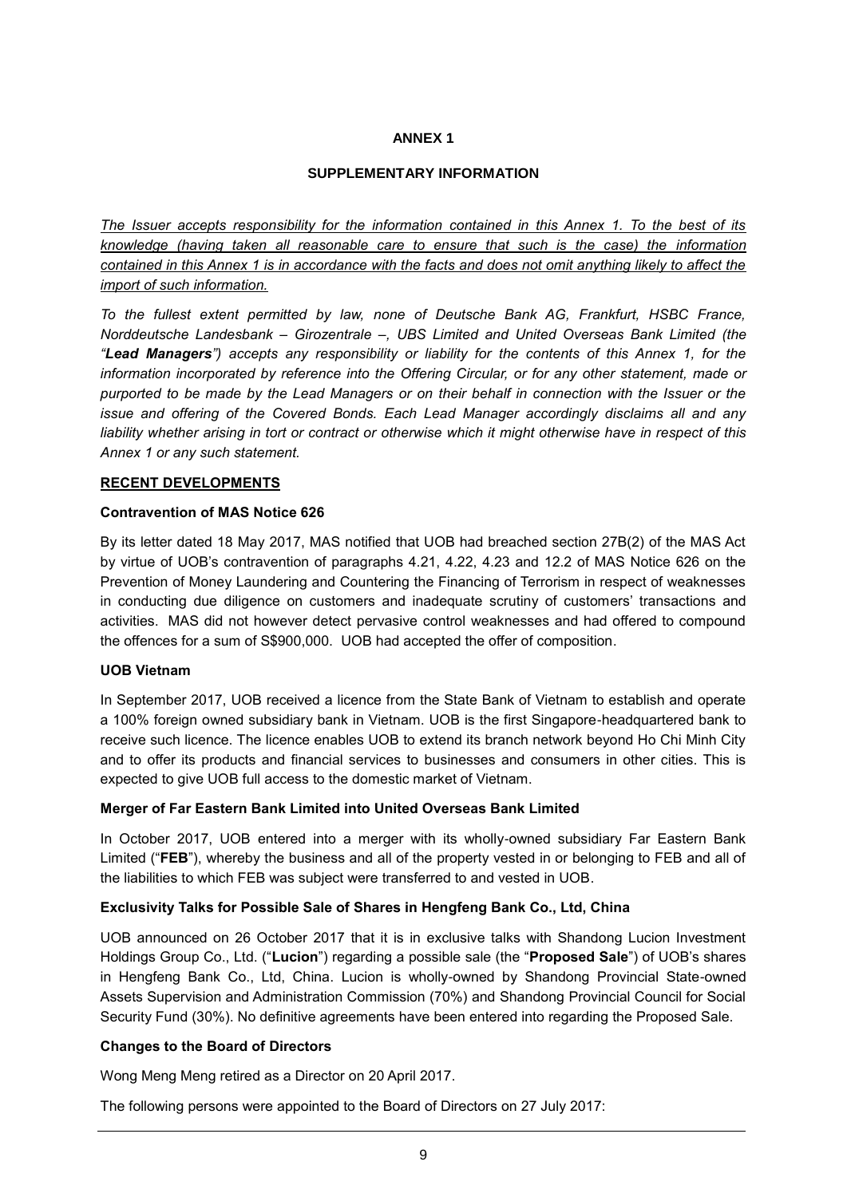### **ANNEX 1**

# **SUPPLEMENTARY INFORMATION**

*The Issuer accepts responsibility for the information contained in this Annex 1. To the best of its knowledge (having taken all reasonable care to ensure that such is the case) the information contained in this Annex 1 is in accordance with the facts and does not omit anything likely to affect the import of such information.*

*To the fullest extent permitted by law, none of Deutsche Bank AG, Frankfurt, HSBC France, Norddeutsche Landesbank – Girozentrale –, UBS Limited and United Overseas Bank Limited (the "Lead Managers") accepts any responsibility or liability for the contents of this Annex 1, for the information incorporated by reference into the Offering Circular, or for any other statement, made or purported to be made by the Lead Managers or on their behalf in connection with the Issuer or the issue and offering of the Covered Bonds. Each Lead Manager accordingly disclaims all and any liability whether arising in tort or contract or otherwise which it might otherwise have in respect of this Annex 1 or any such statement.*

#### **RECENT DEVELOPMENTS**

#### **Contravention of MAS Notice 626**

By its letter dated 18 May 2017, MAS notified that UOB had breached section 27B(2) of the MAS Act by virtue of UOB's contravention of paragraphs 4.21, 4.22, 4.23 and 12.2 of MAS Notice 626 on the Prevention of Money Laundering and Countering the Financing of Terrorism in respect of weaknesses in conducting due diligence on customers and inadequate scrutiny of customers' transactions and activities. MAS did not however detect pervasive control weaknesses and had offered to compound the offences for a sum of S\$900,000. UOB had accepted the offer of composition.

#### **UOB Vietnam**

In September 2017, UOB received a licence from the State Bank of Vietnam to establish and operate a 100% foreign owned subsidiary bank in Vietnam. UOB is the first Singapore-headquartered bank to receive such licence. The licence enables UOB to extend its branch network beyond Ho Chi Minh City and to offer its products and financial services to businesses and consumers in other cities. This is expected to give UOB full access to the domestic market of Vietnam.

#### **Merger of Far Eastern Bank Limited into United Overseas Bank Limited**

In October 2017, UOB entered into a merger with its wholly-owned subsidiary Far Eastern Bank Limited ("**FEB**"), whereby the business and all of the property vested in or belonging to FEB and all of the liabilities to which FEB was subject were transferred to and vested in UOB.

#### **Exclusivity Talks for Possible Sale of Shares in Hengfeng Bank Co., Ltd, China**

UOB announced on 26 October 2017 that it is in exclusive talks with Shandong Lucion Investment Holdings Group Co., Ltd. ("**Lucion**") regarding a possible sale (the "**Proposed Sale**") of UOB's shares in Hengfeng Bank Co., Ltd, China. Lucion is wholly-owned by Shandong Provincial State-owned Assets Supervision and Administration Commission (70%) and Shandong Provincial Council for Social Security Fund (30%). No definitive agreements have been entered into regarding the Proposed Sale.

#### **Changes to the Board of Directors**

Wong Meng Meng retired as a Director on 20 April 2017.

The following persons were appointed to the Board of Directors on 27 July 2017: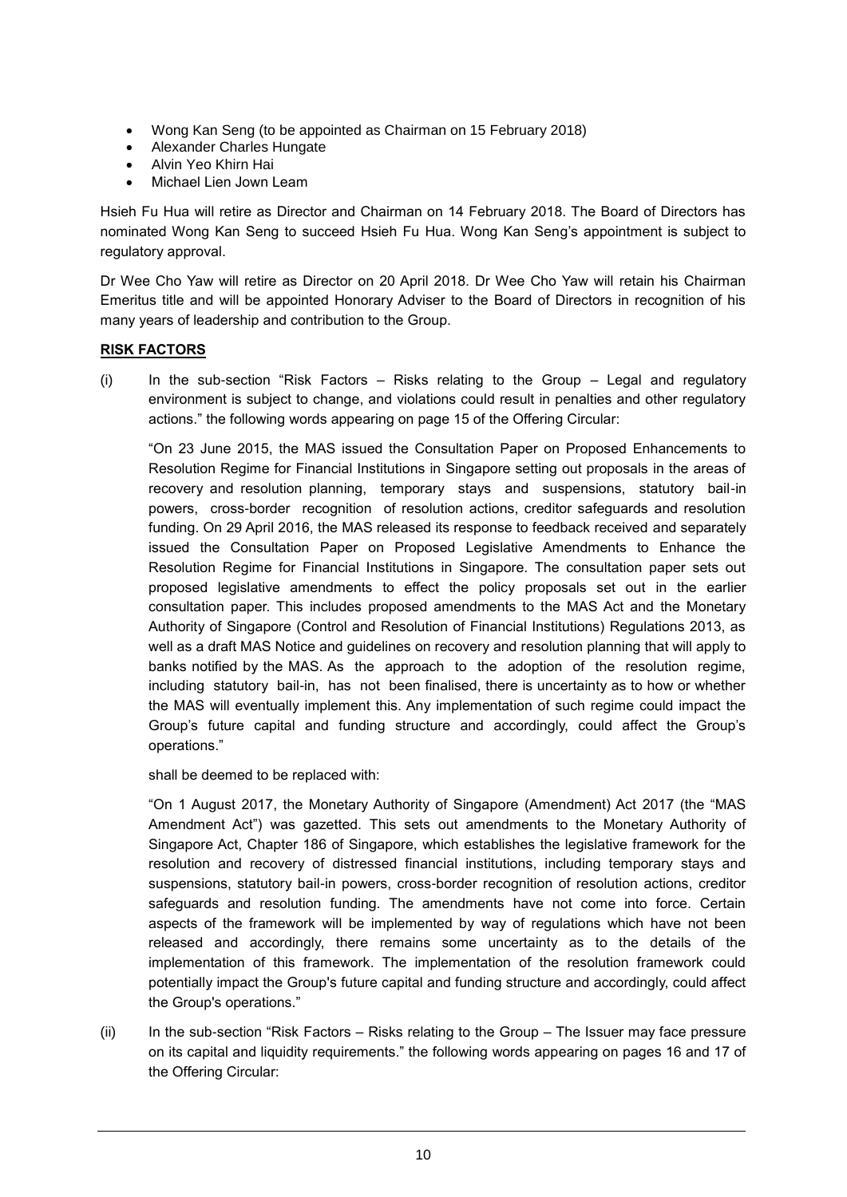- Wong Kan Seng (to be appointed as Chairman on 15 February 2018)
- Alexander Charles Hungate
- Alvin Yeo Khirn Hai
- Michael Lien Jown Leam

Hsieh Fu Hua will retire as Director and Chairman on 14 February 2018. The Board of Directors has nominated Wong Kan Seng to succeed Hsieh Fu Hua. Wong Kan Seng's appointment is subject to regulatory approval.

Dr Wee Cho Yaw will retire as Director on 20 April 2018. Dr Wee Cho Yaw will retain his Chairman Emeritus title and will be appointed Honorary Adviser to the Board of Directors in recognition of his many years of leadership and contribution to the Group.

### **RISK FACTORS**

(i) In the sub-section "Risk Factors – Risks relating to the Group – Legal and regulatory environment is subject to change, and violations could result in penalties and other regulatory actions." the following words appearing on page 15 of the Offering Circular:

"On 23 June 2015, the MAS issued the Consultation Paper on Proposed Enhancements to Resolution Regime for Financial Institutions in Singapore setting out proposals in the areas of recovery and resolution planning, temporary stays and suspensions, statutory bail-in powers, cross-border recognition of resolution actions, creditor safeguards and resolution funding. On 29 April 2016, the MAS released its response to feedback received and separately issued the Consultation Paper on Proposed Legislative Amendments to Enhance the Resolution Regime for Financial Institutions in Singapore. The consultation paper sets out proposed legislative amendments to effect the policy proposals set out in the earlier consultation paper. This includes proposed amendments to the MAS Act and the Monetary Authority of Singapore (Control and Resolution of Financial Institutions) Regulations 2013, as well as a draft MAS Notice and guidelines on recovery and resolution planning that will apply to banks notified by the MAS. As the approach to the adoption of the resolution regime, including statutory bail-in, has not been finalised, there is uncertainty as to how or whether the MAS will eventually implement this. Any implementation of such regime could impact the Group's future capital and funding structure and accordingly, could affect the Group's operations."

shall be deemed to be replaced with:

"On 1 August 2017, the Monetary Authority of Singapore (Amendment) Act 2017 (the "MAS Amendment Act") was gazetted. This sets out amendments to the Monetary Authority of Singapore Act, Chapter 186 of Singapore, which establishes the legislative framework for the resolution and recovery of distressed financial institutions, including temporary stays and suspensions, statutory bail-in powers, cross-border recognition of resolution actions, creditor safeguards and resolution funding. The amendments have not come into force. Certain aspects of the framework will be implemented by way of regulations which have not been released and accordingly, there remains some uncertainty as to the details of the implementation of this framework. The implementation of the resolution framework could potentially impact the Group's future capital and funding structure and accordingly, could affect the Group's operations."

(ii) In the sub-section "Risk Factors – Risks relating to the Group – The Issuer may face pressure on its capital and liquidity requirements." the following words appearing on pages 16 and 17 of the Offering Circular: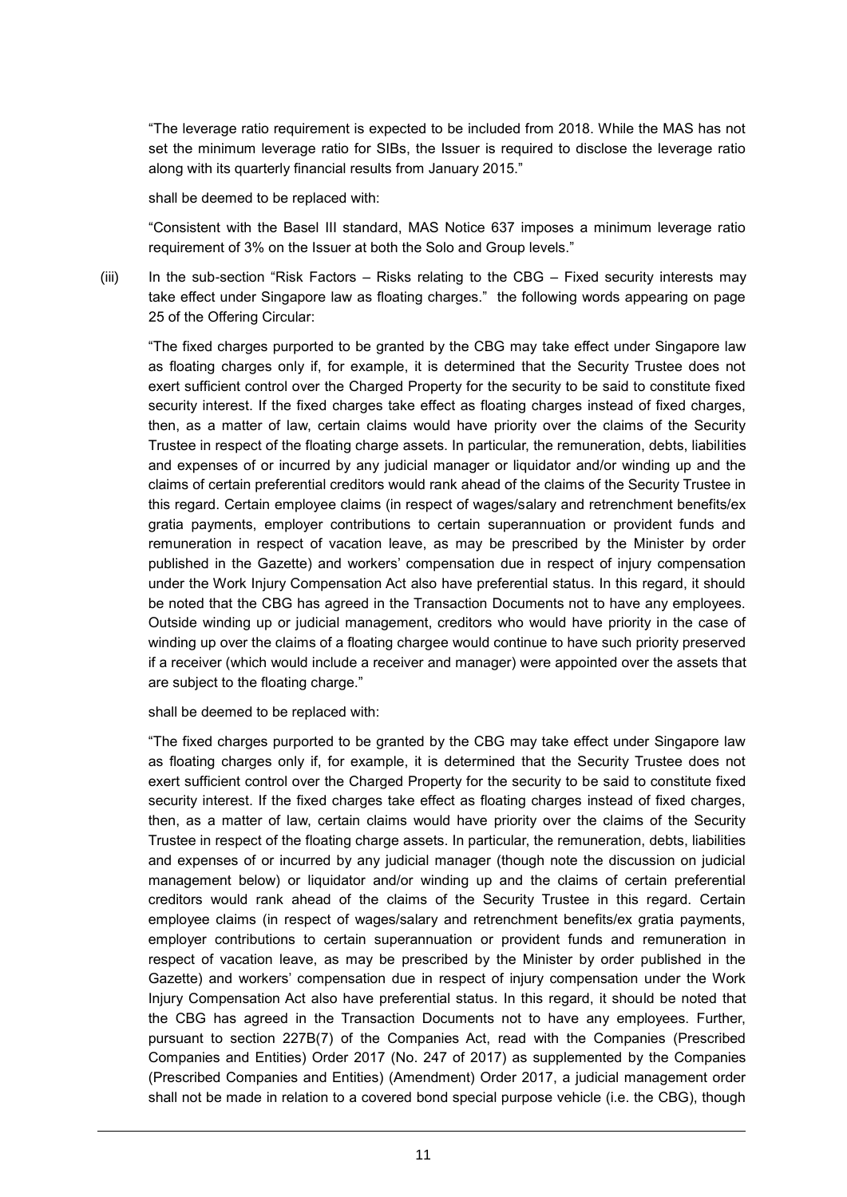"The leverage ratio requirement is expected to be included from 2018. While the MAS has not set the minimum leverage ratio for SIBs, the Issuer is required to disclose the leverage ratio along with its quarterly financial results from January 2015."

shall be deemed to be replaced with:

"Consistent with the Basel III standard, MAS Notice 637 imposes a minimum leverage ratio requirement of 3% on the Issuer at both the Solo and Group levels."

(iii) In the sub-section "Risk Factors – Risks relating to the CBG – Fixed security interests may take effect under Singapore law as floating charges." the following words appearing on page 25 of the Offering Circular:

"The fixed charges purported to be granted by the CBG may take effect under Singapore law as floating charges only if, for example, it is determined that the Security Trustee does not exert sufficient control over the Charged Property for the security to be said to constitute fixed security interest. If the fixed charges take effect as floating charges instead of fixed charges, then, as a matter of law, certain claims would have priority over the claims of the Security Trustee in respect of the floating charge assets. In particular, the remuneration, debts, liabilities and expenses of or incurred by any judicial manager or liquidator and/or winding up and the claims of certain preferential creditors would rank ahead of the claims of the Security Trustee in this regard. Certain employee claims (in respect of wages/salary and retrenchment benefits/ex gratia payments, employer contributions to certain superannuation or provident funds and remuneration in respect of vacation leave, as may be prescribed by the Minister by order published in the Gazette) and workers' compensation due in respect of injury compensation under the Work Injury Compensation Act also have preferential status. In this regard, it should be noted that the CBG has agreed in the Transaction Documents not to have any employees. Outside winding up or judicial management, creditors who would have priority in the case of winding up over the claims of a floating chargee would continue to have such priority preserved if a receiver (which would include a receiver and manager) were appointed over the assets that are subject to the floating charge."

shall be deemed to be replaced with:

"The fixed charges purported to be granted by the CBG may take effect under Singapore law as floating charges only if, for example, it is determined that the Security Trustee does not exert sufficient control over the Charged Property for the security to be said to constitute fixed security interest. If the fixed charges take effect as floating charges instead of fixed charges, then, as a matter of law, certain claims would have priority over the claims of the Security Trustee in respect of the floating charge assets. In particular, the remuneration, debts, liabilities and expenses of or incurred by any judicial manager (though note the discussion on judicial management below) or liquidator and/or winding up and the claims of certain preferential creditors would rank ahead of the claims of the Security Trustee in this regard. Certain employee claims (in respect of wages/salary and retrenchment benefits/ex gratia payments, employer contributions to certain superannuation or provident funds and remuneration in respect of vacation leave, as may be prescribed by the Minister by order published in the Gazette) and workers' compensation due in respect of injury compensation under the Work Injury Compensation Act also have preferential status. In this regard, it should be noted that the CBG has agreed in the Transaction Documents not to have any employees. Further, pursuant to section 227B(7) of the Companies Act, read with the Companies (Prescribed Companies and Entities) Order 2017 (No. 247 of 2017) as supplemented by the Companies (Prescribed Companies and Entities) (Amendment) Order 2017, a judicial management order shall not be made in relation to a covered bond special purpose vehicle (i.e. the CBG), though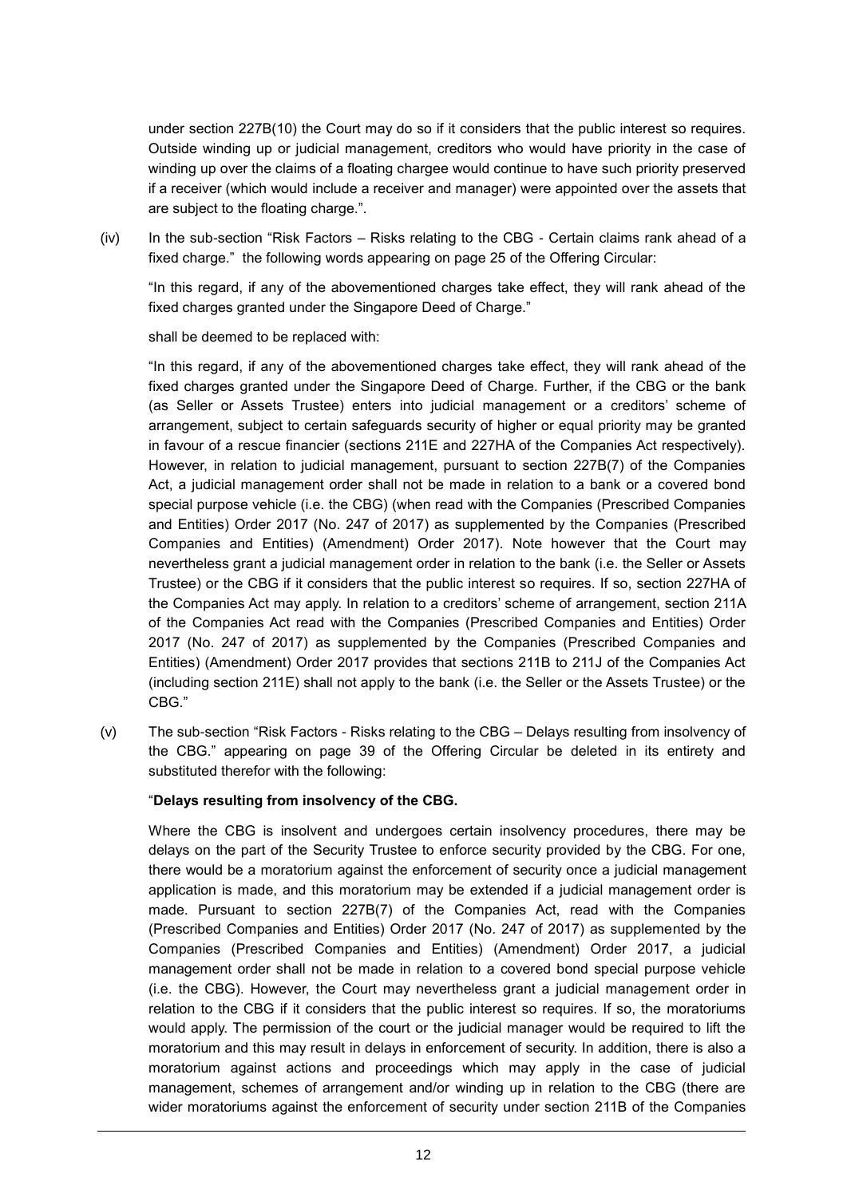under section 227B(10) the Court may do so if it considers that the public interest so requires. Outside winding up or judicial management, creditors who would have priority in the case of winding up over the claims of a floating chargee would continue to have such priority preserved if a receiver (which would include a receiver and manager) were appointed over the assets that are subject to the floating charge.".

(iv) In the sub-section "Risk Factors – Risks relating to the CBG - Certain claims rank ahead of a fixed charge." the following words appearing on page 25 of the Offering Circular:

"In this regard, if any of the abovementioned charges take effect, they will rank ahead of the fixed charges granted under the Singapore Deed of Charge."

shall be deemed to be replaced with:

"In this regard, if any of the abovementioned charges take effect, they will rank ahead of the fixed charges granted under the Singapore Deed of Charge. Further, if the CBG or the bank (as Seller or Assets Trustee) enters into judicial management or a creditors' scheme of arrangement, subject to certain safeguards security of higher or equal priority may be granted in favour of a rescue financier (sections 211E and 227HA of the Companies Act respectively). However, in relation to judicial management, pursuant to section 227B(7) of the Companies Act, a judicial management order shall not be made in relation to a bank or a covered bond special purpose vehicle (i.e. the CBG) (when read with the Companies (Prescribed Companies and Entities) Order 2017 (No. 247 of 2017) as supplemented by the Companies (Prescribed Companies and Entities) (Amendment) Order 2017). Note however that the Court may nevertheless grant a judicial management order in relation to the bank (i.e. the Seller or Assets Trustee) or the CBG if it considers that the public interest so requires. If so, section 227HA of the Companies Act may apply. In relation to a creditors' scheme of arrangement, section 211A of the Companies Act read with the Companies (Prescribed Companies and Entities) Order 2017 (No. 247 of 2017) as supplemented by the Companies (Prescribed Companies and Entities) (Amendment) Order 2017 provides that sections 211B to 211J of the Companies Act (including section 211E) shall not apply to the bank (i.e. the Seller or the Assets Trustee) or the CBG."

(v) The sub-section "Risk Factors - Risks relating to the CBG – Delays resulting from insolvency of the CBG." appearing on page 39 of the Offering Circular be deleted in its entirety and substituted therefor with the following:

# "**Delays resulting from insolvency of the CBG.**

Where the CBG is insolvent and undergoes certain insolvency procedures, there may be delays on the part of the Security Trustee to enforce security provided by the CBG. For one, there would be a moratorium against the enforcement of security once a judicial management application is made, and this moratorium may be extended if a judicial management order is made. Pursuant to section 227B(7) of the Companies Act, read with the Companies (Prescribed Companies and Entities) Order 2017 (No. 247 of 2017) as supplemented by the Companies (Prescribed Companies and Entities) (Amendment) Order 2017, a judicial management order shall not be made in relation to a covered bond special purpose vehicle (i.e. the CBG). However, the Court may nevertheless grant a judicial management order in relation to the CBG if it considers that the public interest so requires. If so, the moratoriums would apply. The permission of the court or the judicial manager would be required to lift the moratorium and this may result in delays in enforcement of security. In addition, there is also a moratorium against actions and proceedings which may apply in the case of judicial management, schemes of arrangement and/or winding up in relation to the CBG (there are wider moratoriums against the enforcement of security under section 211B of the Companies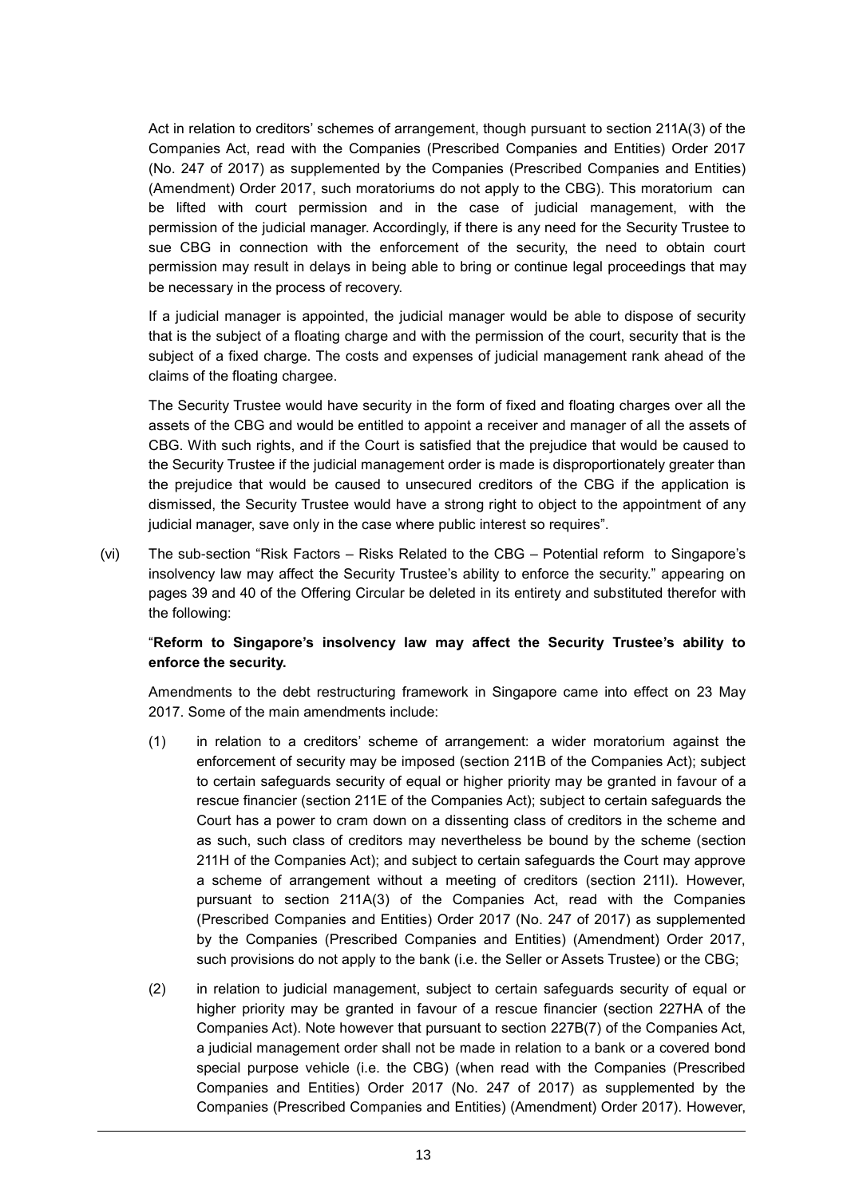Act in relation to creditors' schemes of arrangement, though pursuant to section 211A(3) of the Companies Act, read with the Companies (Prescribed Companies and Entities) Order 2017 (No. 247 of 2017) as supplemented by the Companies (Prescribed Companies and Entities) (Amendment) Order 2017, such moratoriums do not apply to the CBG). This moratorium can be lifted with court permission and in the case of judicial management, with the permission of the judicial manager. Accordingly, if there is any need for the Security Trustee to sue CBG in connection with the enforcement of the security, the need to obtain court permission may result in delays in being able to bring or continue legal proceedings that may be necessary in the process of recovery.

If a judicial manager is appointed, the judicial manager would be able to dispose of security that is the subject of a floating charge and with the permission of the court, security that is the subject of a fixed charge. The costs and expenses of judicial management rank ahead of the claims of the floating chargee.

The Security Trustee would have security in the form of fixed and floating charges over all the assets of the CBG and would be entitled to appoint a receiver and manager of all the assets of CBG. With such rights, and if the Court is satisfied that the prejudice that would be caused to the Security Trustee if the judicial management order is made is disproportionately greater than the prejudice that would be caused to unsecured creditors of the CBG if the application is dismissed, the Security Trustee would have a strong right to object to the appointment of any judicial manager, save only in the case where public interest so requires".

(vi) The sub-section "Risk Factors – Risks Related to the CBG – Potential reform to Singapore's insolvency law may affect the Security Trustee's ability to enforce the security." appearing on pages 39 and 40 of the Offering Circular be deleted in its entirety and substituted therefor with the following:

# "**Reform to Singapore's insolvency law may affect the Security Trustee's ability to enforce the security.**

Amendments to the debt restructuring framework in Singapore came into effect on 23 May 2017. Some of the main amendments include:

- (1) in relation to a creditors' scheme of arrangement: a wider moratorium against the enforcement of security may be imposed (section 211B of the Companies Act); subject to certain safeguards security of equal or higher priority may be granted in favour of a rescue financier (section 211E of the Companies Act); subject to certain safeguards the Court has a power to cram down on a dissenting class of creditors in the scheme and as such, such class of creditors may nevertheless be bound by the scheme (section 211H of the Companies Act); and subject to certain safeguards the Court may approve a scheme of arrangement without a meeting of creditors (section 211I). However, pursuant to section 211A(3) of the Companies Act, read with the Companies (Prescribed Companies and Entities) Order 2017 (No. 247 of 2017) as supplemented by the Companies (Prescribed Companies and Entities) (Amendment) Order 2017, such provisions do not apply to the bank (i.e. the Seller or Assets Trustee) or the CBG;
- (2) in relation to judicial management, subject to certain safeguards security of equal or higher priority may be granted in favour of a rescue financier (section 227HA of the Companies Act). Note however that pursuant to section 227B(7) of the Companies Act, a judicial management order shall not be made in relation to a bank or a covered bond special purpose vehicle (i.e. the CBG) (when read with the Companies (Prescribed Companies and Entities) Order 2017 (No. 247 of 2017) as supplemented by the Companies (Prescribed Companies and Entities) (Amendment) Order 2017). However,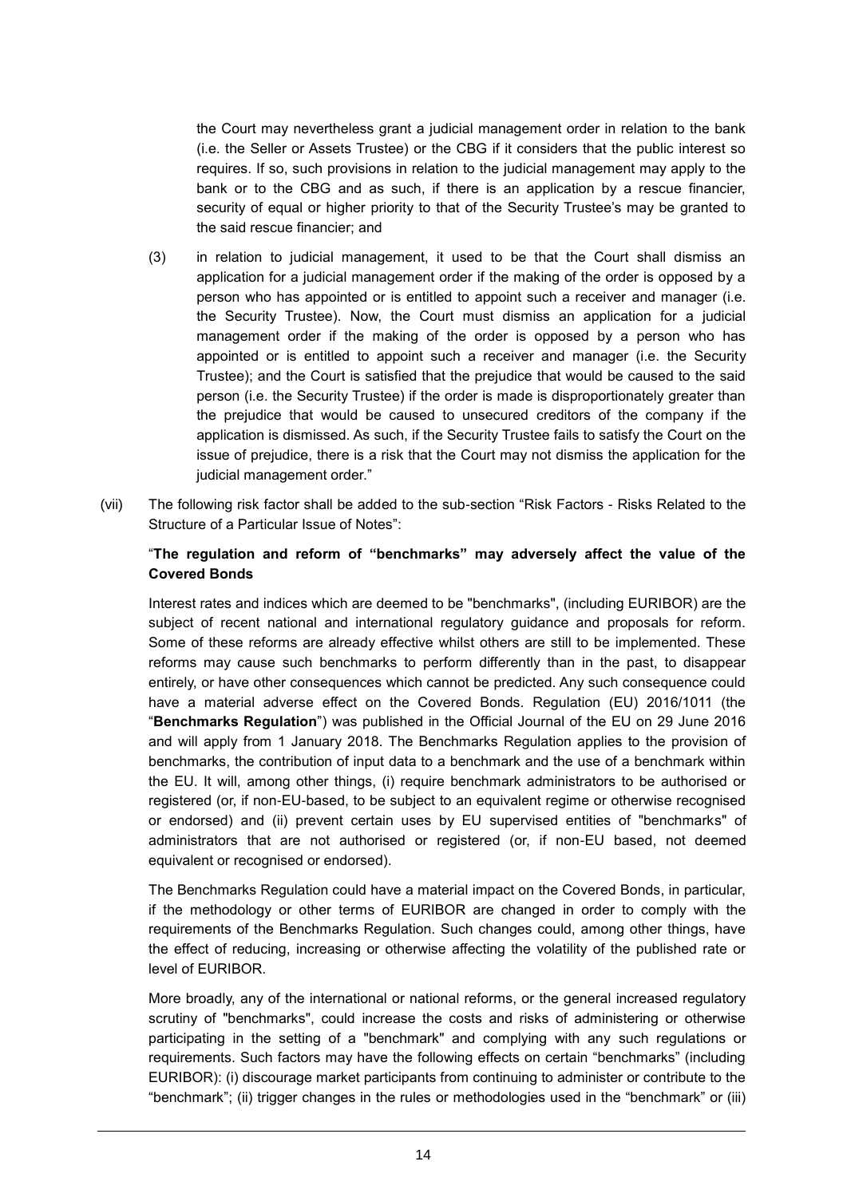the Court may nevertheless grant a judicial management order in relation to the bank (i.e. the Seller or Assets Trustee) or the CBG if it considers that the public interest so requires. If so, such provisions in relation to the judicial management may apply to the bank or to the CBG and as such, if there is an application by a rescue financier, security of equal or higher priority to that of the Security Trustee's may be granted to the said rescue financier; and

- (3) in relation to judicial management, it used to be that the Court shall dismiss an application for a judicial management order if the making of the order is opposed by a person who has appointed or is entitled to appoint such a receiver and manager (i.e. the Security Trustee). Now, the Court must dismiss an application for a judicial management order if the making of the order is opposed by a person who has appointed or is entitled to appoint such a receiver and manager (i.e. the Security Trustee); and the Court is satisfied that the prejudice that would be caused to the said person (i.e. the Security Trustee) if the order is made is disproportionately greater than the prejudice that would be caused to unsecured creditors of the company if the application is dismissed. As such, if the Security Trustee fails to satisfy the Court on the issue of prejudice, there is a risk that the Court may not dismiss the application for the judicial management order."
- (vii) The following risk factor shall be added to the sub-section "Risk Factors Risks Related to the Structure of a Particular Issue of Notes":

## "**The regulation and reform of "benchmarks" may adversely affect the value of the Covered Bonds**

Interest rates and indices which are deemed to be "benchmarks", (including EURIBOR) are the subject of recent national and international regulatory guidance and proposals for reform. Some of these reforms are already effective whilst others are still to be implemented. These reforms may cause such benchmarks to perform differently than in the past, to disappear entirely, or have other consequences which cannot be predicted. Any such consequence could have a material adverse effect on the Covered Bonds. Regulation (EU) 2016/1011 (the "**Benchmarks Regulation**") was published in the Official Journal of the EU on 29 June 2016 and will apply from 1 January 2018. The Benchmarks Regulation applies to the provision of benchmarks, the contribution of input data to a benchmark and the use of a benchmark within the EU. It will, among other things, (i) require benchmark administrators to be authorised or registered (or, if non-EU-based, to be subject to an equivalent regime or otherwise recognised or endorsed) and (ii) prevent certain uses by EU supervised entities of "benchmarks" of administrators that are not authorised or registered (or, if non-EU based, not deemed equivalent or recognised or endorsed).

The Benchmarks Regulation could have a material impact on the Covered Bonds, in particular, if the methodology or other terms of EURIBOR are changed in order to comply with the requirements of the Benchmarks Regulation. Such changes could, among other things, have the effect of reducing, increasing or otherwise affecting the volatility of the published rate or level of EURIBOR.

More broadly, any of the international or national reforms, or the general increased regulatory scrutiny of "benchmarks", could increase the costs and risks of administering or otherwise participating in the setting of a "benchmark" and complying with any such regulations or requirements. Such factors may have the following effects on certain "benchmarks" (including EURIBOR): (i) discourage market participants from continuing to administer or contribute to the "benchmark"; (ii) trigger changes in the rules or methodologies used in the "benchmark" or (iii)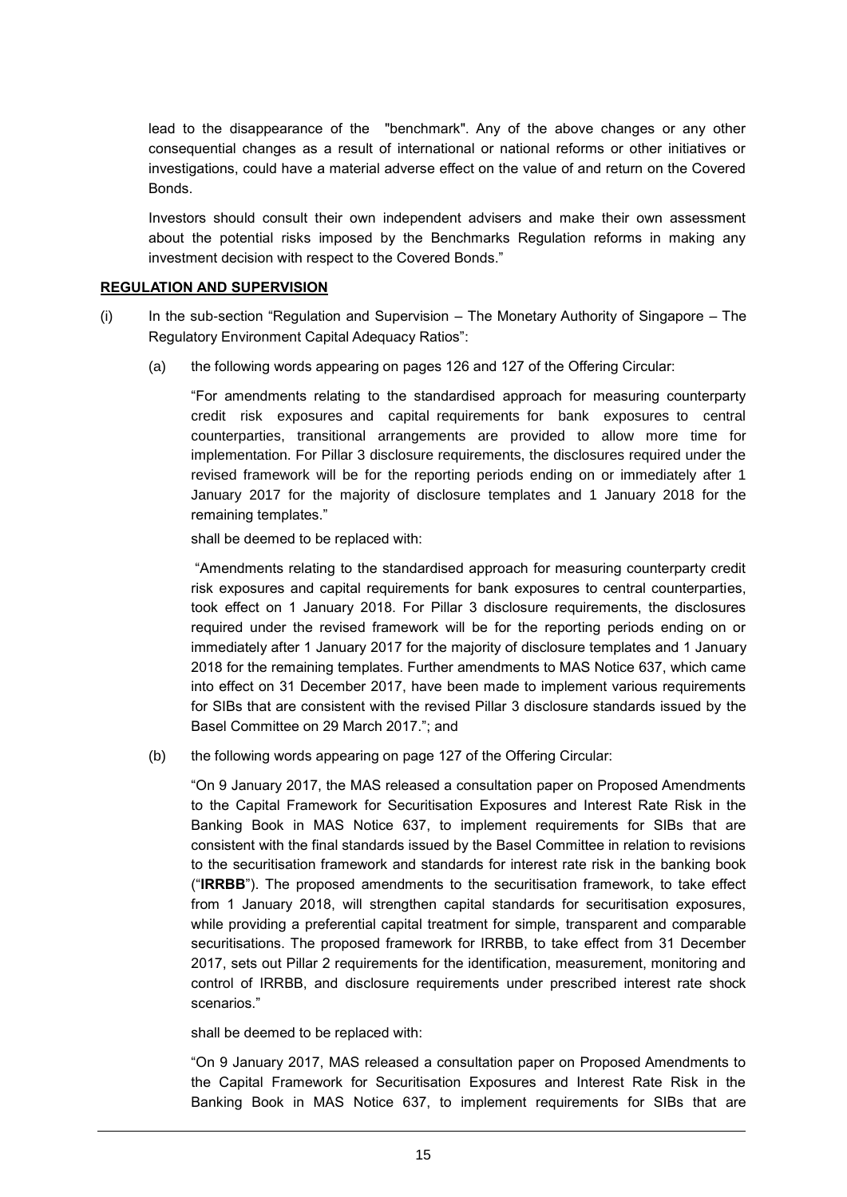lead to the disappearance of the "benchmark". Any of the above changes or any other consequential changes as a result of international or national reforms or other initiatives or investigations, could have a material adverse effect on the value of and return on the Covered Bonds.

Investors should consult their own independent advisers and make their own assessment about the potential risks imposed by the Benchmarks Regulation reforms in making any investment decision with respect to the Covered Bonds."

#### **REGULATION AND SUPERVISION**

- (i) In the sub-section "Regulation and Supervision *–* The Monetary Authority of Singapore The Regulatory Environment Capital Adequacy Ratios":
	- (a) the following words appearing on pages 126 and 127 of the Offering Circular:

"For amendments relating to the standardised approach for measuring counterparty credit risk exposures and capital requirements for bank exposures to central counterparties, transitional arrangements are provided to allow more time for implementation. For Pillar 3 disclosure requirements, the disclosures required under the revised framework will be for the reporting periods ending on or immediately after 1 January 2017 for the majority of disclosure templates and 1 January 2018 for the remaining templates."

shall be deemed to be replaced with:

"Amendments relating to the standardised approach for measuring counterparty credit risk exposures and capital requirements for bank exposures to central counterparties, took effect on 1 January 2018. For Pillar 3 disclosure requirements, the disclosures required under the revised framework will be for the reporting periods ending on or immediately after 1 January 2017 for the majority of disclosure templates and 1 January 2018 for the remaining templates. Further amendments to MAS Notice 637, which came into effect on 31 December 2017, have been made to implement various requirements for SIBs that are consistent with the revised Pillar 3 disclosure standards issued by the Basel Committee on 29 March 2017."; and

(b) the following words appearing on page 127 of the Offering Circular:

"On 9 January 2017, the MAS released a consultation paper on Proposed Amendments to the Capital Framework for Securitisation Exposures and Interest Rate Risk in the Banking Book in MAS Notice 637, to implement requirements for SIBs that are consistent with the final standards issued by the Basel Committee in relation to revisions to the securitisation framework and standards for interest rate risk in the banking book ("**IRRBB**"). The proposed amendments to the securitisation framework, to take effect from 1 January 2018, will strengthen capital standards for securitisation exposures, while providing a preferential capital treatment for simple, transparent and comparable securitisations. The proposed framework for IRRBB, to take effect from 31 December 2017, sets out Pillar 2 requirements for the identification, measurement, monitoring and control of IRRBB, and disclosure requirements under prescribed interest rate shock scenarios."

shall be deemed to be replaced with:

"On 9 January 2017, MAS released a consultation paper on Proposed Amendments to the Capital Framework for Securitisation Exposures and Interest Rate Risk in the Banking Book in MAS Notice 637, to implement requirements for SIBs that are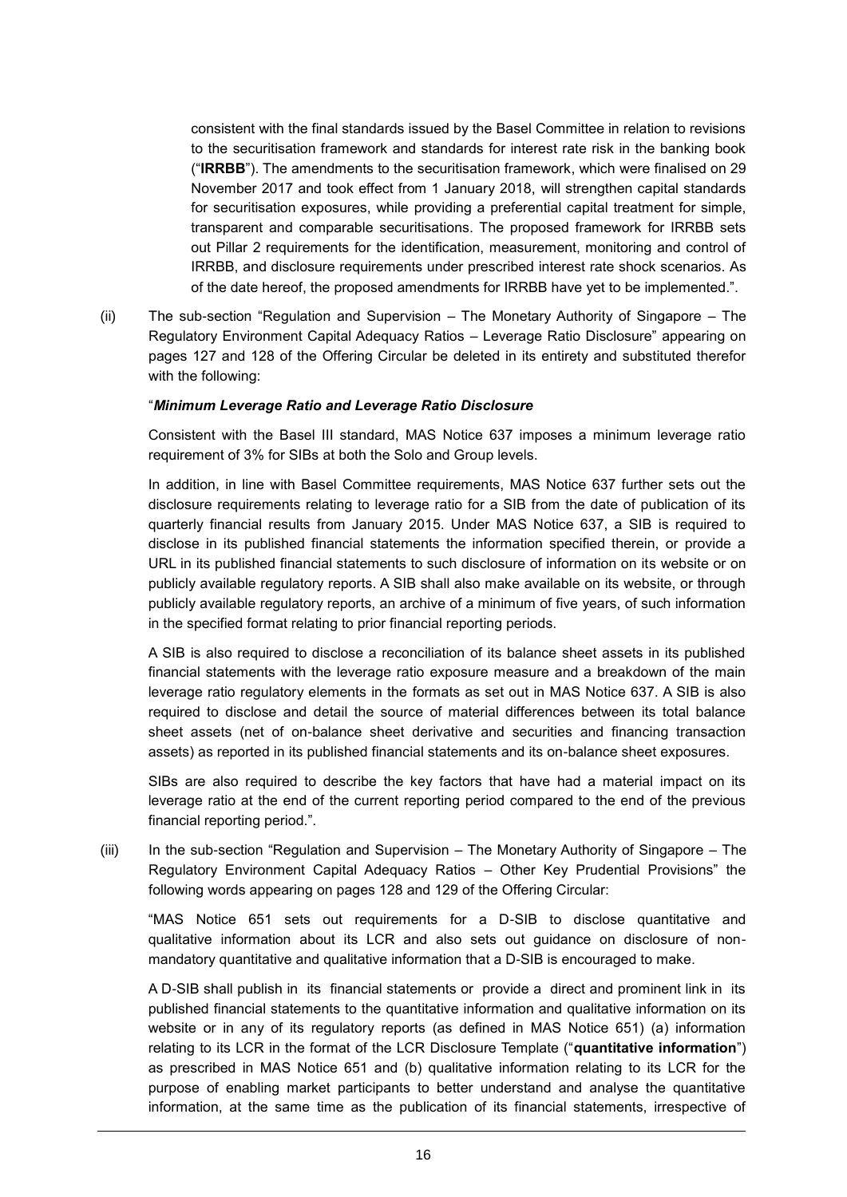consistent with the final standards issued by the Basel Committee in relation to revisions to the securitisation framework and standards for interest rate risk in the banking book ("**IRRBB**"). The amendments to the securitisation framework, which were finalised on 29 November 2017 and took effect from 1 January 2018, will strengthen capital standards for securitisation exposures, while providing a preferential capital treatment for simple, transparent and comparable securitisations. The proposed framework for IRRBB sets out Pillar 2 requirements for the identification, measurement, monitoring and control of IRRBB, and disclosure requirements under prescribed interest rate shock scenarios. As of the date hereof, the proposed amendments for IRRBB have yet to be implemented.".

(ii) The sub-section "Regulation and Supervision – The Monetary Authority of Singapore – The Regulatory Environment Capital Adequacy Ratios – Leverage Ratio Disclosure" appearing on pages 127 and 128 of the Offering Circular be deleted in its entirety and substituted therefor with the following:

#### "*Minimum Leverage Ratio and Leverage Ratio Disclosure*

Consistent with the Basel III standard, MAS Notice 637 imposes a minimum leverage ratio requirement of 3% for SIBs at both the Solo and Group levels.

In addition, in line with Basel Committee requirements, MAS Notice 637 further sets out the disclosure requirements relating to leverage ratio for a SIB from the date of publication of its quarterly financial results from January 2015. Under MAS Notice 637, a SIB is required to disclose in its published financial statements the information specified therein, or provide a URL in its published financial statements to such disclosure of information on its website or on publicly available regulatory reports. A SIB shall also make available on its website, or through publicly available regulatory reports, an archive of a minimum of five years, of such information in the specified format relating to prior financial reporting periods.

A SIB is also required to disclose a reconciliation of its balance sheet assets in its published financial statements with the leverage ratio exposure measure and a breakdown of the main leverage ratio regulatory elements in the formats as set out in MAS Notice 637. A SIB is also required to disclose and detail the source of material differences between its total balance sheet assets (net of on-balance sheet derivative and securities and financing transaction assets) as reported in its published financial statements and its on-balance sheet exposures.

SIBs are also required to describe the key factors that have had a material impact on its leverage ratio at the end of the current reporting period compared to the end of the previous financial reporting period.".

(iii) In the sub-section "Regulation and Supervision – The Monetary Authority of Singapore – The Regulatory Environment Capital Adequacy Ratios – Other Key Prudential Provisions" the following words appearing on pages 128 and 129 of the Offering Circular:

"MAS Notice 651 sets out requirements for a D-SIB to disclose quantitative and qualitative information about its LCR and also sets out guidance on disclosure of nonmandatory quantitative and qualitative information that a D-SIB is encouraged to make.

A D-SIB shall publish in its financial statements or provide a direct and prominent link in its published financial statements to the quantitative information and qualitative information on its website or in any of its regulatory reports (as defined in MAS Notice 651) (a) information relating to its LCR in the format of the LCR Disclosure Template ("**quantitative information**") as prescribed in MAS Notice 651 and (b) qualitative information relating to its LCR for the purpose of enabling market participants to better understand and analyse the quantitative information, at the same time as the publication of its financial statements, irrespective of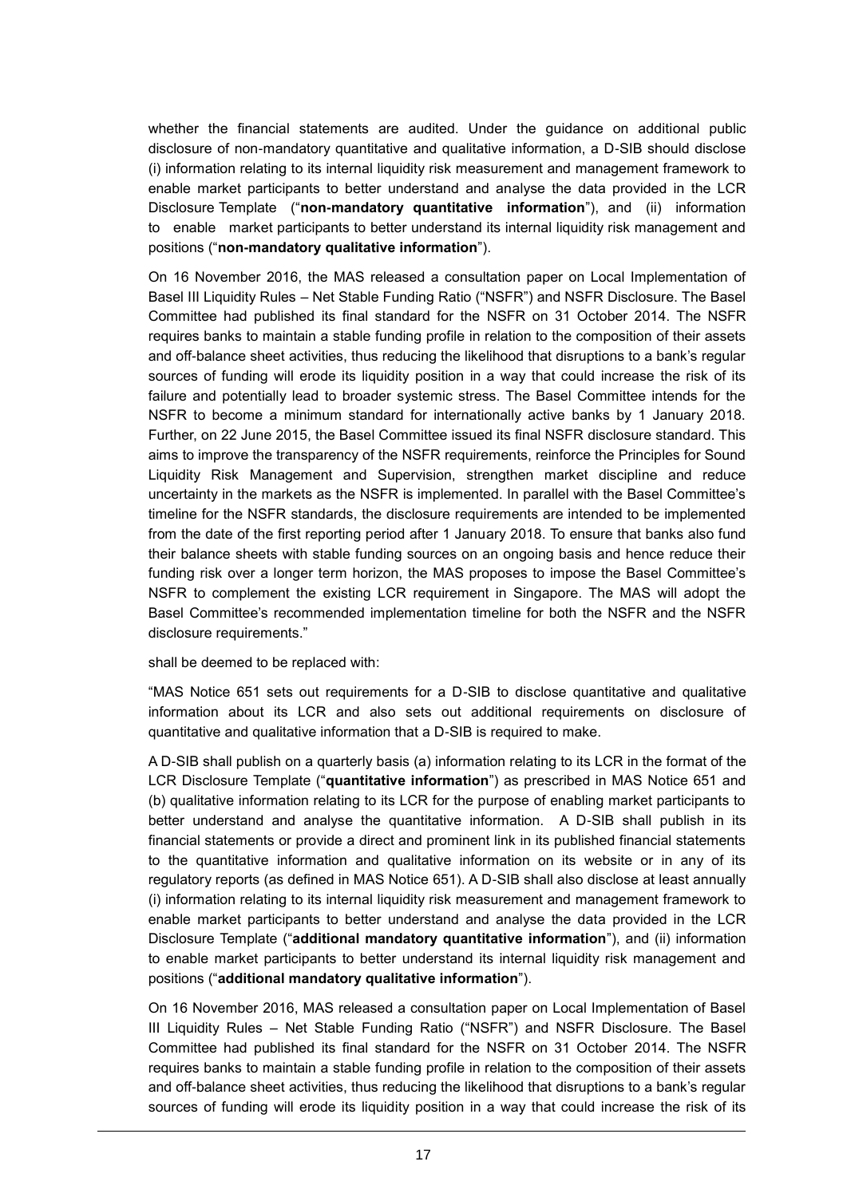whether the financial statements are audited. Under the guidance on additional public disclosure of non-mandatory quantitative and qualitative information, a D-SIB should disclose (i) information relating to its internal liquidity risk measurement and management framework to enable market participants to better understand and analyse the data provided in the LCR Disclosure Template ("**non-mandatory quantitative information**"), and (ii) information to enable market participants to better understand its internal liquidity risk management and positions ("**non-mandatory qualitative information**").

On 16 November 2016, the MAS released a consultation paper on Local Implementation of Basel III Liquidity Rules – Net Stable Funding Ratio ("NSFR") and NSFR Disclosure. The Basel Committee had published its final standard for the NSFR on 31 October 2014. The NSFR requires banks to maintain a stable funding profile in relation to the composition of their assets and off-balance sheet activities, thus reducing the likelihood that disruptions to a bank's regular sources of funding will erode its liquidity position in a way that could increase the risk of its failure and potentially lead to broader systemic stress. The Basel Committee intends for the NSFR to become a minimum standard for internationally active banks by 1 January 2018. Further, on 22 June 2015, the Basel Committee issued its final NSFR disclosure standard. This aims to improve the transparency of the NSFR requirements, reinforce the Principles for Sound Liquidity Risk Management and Supervision, strengthen market discipline and reduce uncertainty in the markets as the NSFR is implemented. In parallel with the Basel Committee's timeline for the NSFR standards, the disclosure requirements are intended to be implemented from the date of the first reporting period after 1 January 2018. To ensure that banks also fund their balance sheets with stable funding sources on an ongoing basis and hence reduce their funding risk over a longer term horizon, the MAS proposes to impose the Basel Committee's NSFR to complement the existing LCR requirement in Singapore. The MAS will adopt the Basel Committee's recommended implementation timeline for both the NSFR and the NSFR disclosure requirements."

shall be deemed to be replaced with:

"MAS Notice 651 sets out requirements for a D-SIB to disclose quantitative and qualitative information about its LCR and also sets out additional requirements on disclosure of quantitative and qualitative information that a D-SIB is required to make.

A D-SIB shall publish on a quarterly basis (a) information relating to its LCR in the format of the LCR Disclosure Template ("**quantitative information**") as prescribed in MAS Notice 651 and (b) qualitative information relating to its LCR for the purpose of enabling market participants to better understand and analyse the quantitative information. A D-SIB shall publish in its financial statements or provide a direct and prominent link in its published financial statements to the quantitative information and qualitative information on its website or in any of its regulatory reports (as defined in MAS Notice 651). A D-SIB shall also disclose at least annually (i) information relating to its internal liquidity risk measurement and management framework to enable market participants to better understand and analyse the data provided in the LCR Disclosure Template ("**additional mandatory quantitative information**"), and (ii) information to enable market participants to better understand its internal liquidity risk management and positions ("**additional mandatory qualitative information**").

On 16 November 2016, MAS released a consultation paper on Local Implementation of Basel III Liquidity Rules – Net Stable Funding Ratio ("NSFR") and NSFR Disclosure. The Basel Committee had published its final standard for the NSFR on 31 October 2014. The NSFR requires banks to maintain a stable funding profile in relation to the composition of their assets and off-balance sheet activities, thus reducing the likelihood that disruptions to a bank's regular sources of funding will erode its liquidity position in a way that could increase the risk of its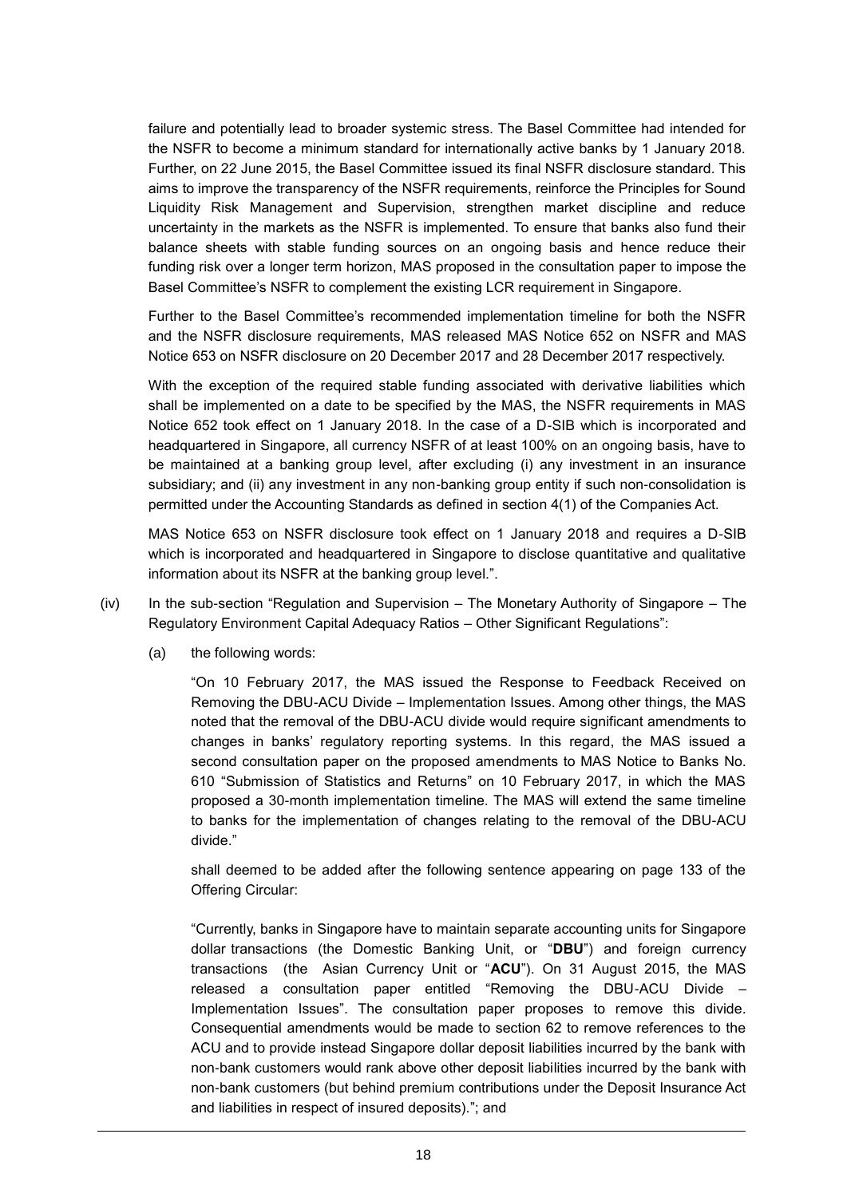failure and potentially lead to broader systemic stress. The Basel Committee had intended for the NSFR to become a minimum standard for internationally active banks by 1 January 2018. Further, on 22 June 2015, the Basel Committee issued its final NSFR disclosure standard. This aims to improve the transparency of the NSFR requirements, reinforce the Principles for Sound Liquidity Risk Management and Supervision, strengthen market discipline and reduce uncertainty in the markets as the NSFR is implemented. To ensure that banks also fund their balance sheets with stable funding sources on an ongoing basis and hence reduce their funding risk over a longer term horizon, MAS proposed in the consultation paper to impose the Basel Committee's NSFR to complement the existing LCR requirement in Singapore.

Further to the Basel Committee's recommended implementation timeline for both the NSFR and the NSFR disclosure requirements, MAS released MAS Notice 652 on NSFR and MAS Notice 653 on NSFR disclosure on 20 December 2017 and 28 December 2017 respectively.

With the exception of the required stable funding associated with derivative liabilities which shall be implemented on a date to be specified by the MAS, the NSFR requirements in MAS Notice 652 took effect on 1 January 2018. In the case of a D-SIB which is incorporated and headquartered in Singapore, all currency NSFR of at least 100% on an ongoing basis, have to be maintained at a banking group level, after excluding (i) any investment in an insurance subsidiary; and (ii) any investment in any non-banking group entity if such non-consolidation is permitted under the Accounting Standards as defined in section 4(1) of the Companies Act.

MAS Notice 653 on NSFR disclosure took effect on 1 January 2018 and requires a D-SIB which is incorporated and headquartered in Singapore to disclose quantitative and qualitative information about its NSFR at the banking group level.".

- (iv) In the sub-section "Regulation and Supervision The Monetary Authority of Singapore The Regulatory Environment Capital Adequacy Ratios – Other Significant Regulations":
	- (a) the following words:

"On 10 February 2017, the MAS issued the Response to Feedback Received on Removing the DBU-ACU Divide – Implementation Issues. Among other things, the MAS noted that the removal of the DBU-ACU divide would require significant amendments to changes in banks' regulatory reporting systems. In this regard, the MAS issued a second consultation paper on the proposed amendments to MAS Notice to Banks No. 610 "Submission of Statistics and Returns" on 10 February 2017, in which the MAS proposed a 30-month implementation timeline. The MAS will extend the same timeline to banks for the implementation of changes relating to the removal of the DBU-ACU divide."

shall deemed to be added after the following sentence appearing on page 133 of the Offering Circular:

"Currently, banks in Singapore have to maintain separate accounting units for Singapore dollar transactions (the Domestic Banking Unit, or "**DBU**") and foreign currency transactions (the Asian Currency Unit or "**ACU**"). On 31 August 2015, the MAS released a consultation paper entitled "Removing the DBU-ACU Divide – Implementation Issues". The consultation paper proposes to remove this divide. Consequential amendments would be made to section 62 to remove references to the ACU and to provide instead Singapore dollar deposit liabilities incurred by the bank with non-bank customers would rank above other deposit liabilities incurred by the bank with non-bank customers (but behind premium contributions under the Deposit Insurance Act and liabilities in respect of insured deposits)."; and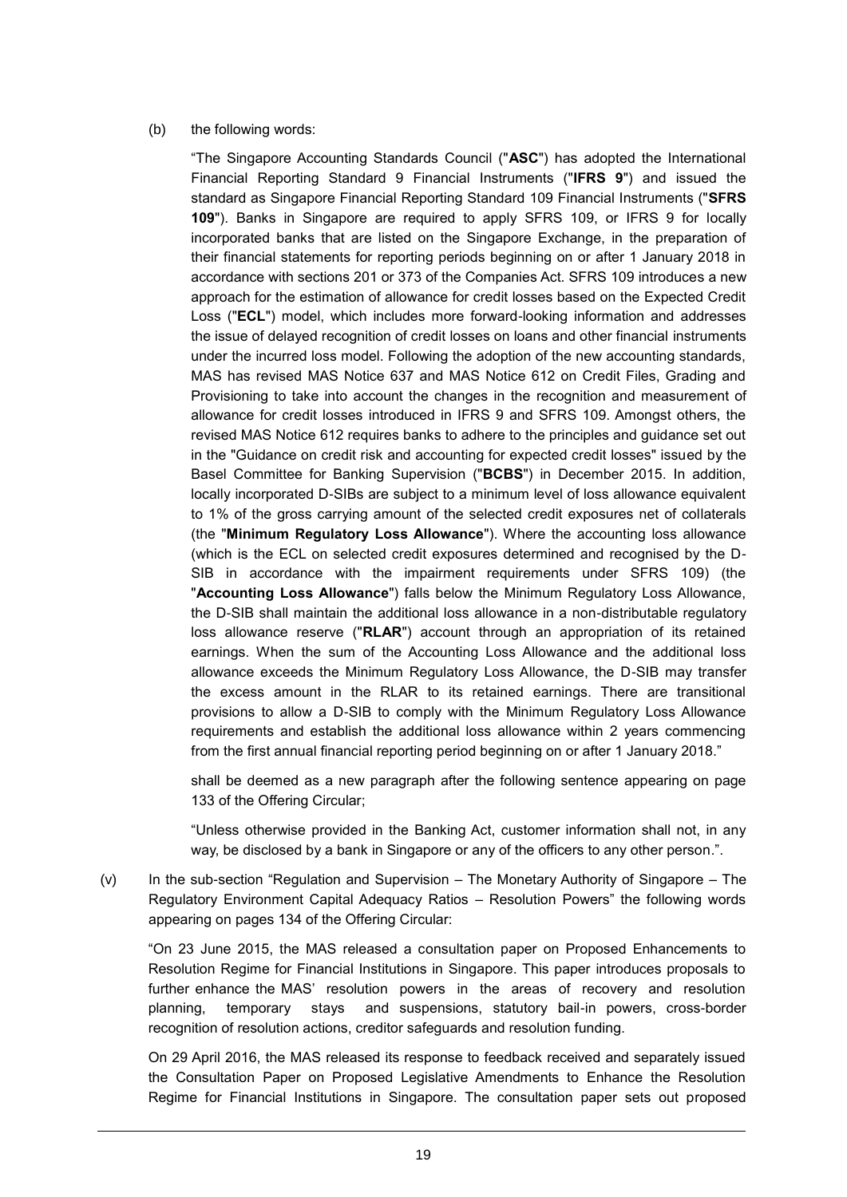#### (b) the following words:

"The Singapore Accounting Standards Council ("**ASC**") has adopted the International Financial Reporting Standard 9 Financial Instruments ("**IFRS 9**") and issued the standard as Singapore Financial Reporting Standard 109 Financial Instruments ("**SFRS 109**"). Banks in Singapore are required to apply SFRS 109, or IFRS 9 for locally incorporated banks that are listed on the Singapore Exchange, in the preparation of their financial statements for reporting periods beginning on or after 1 January 2018 in accordance with sections 201 or 373 of the Companies Act. SFRS 109 introduces a new approach for the estimation of allowance for credit losses based on the Expected Credit Loss ("**ECL**") model, which includes more forward-looking information and addresses the issue of delayed recognition of credit losses on loans and other financial instruments under the incurred loss model. Following the adoption of the new accounting standards, MAS has revised MAS Notice 637 and MAS Notice 612 on Credit Files, Grading and Provisioning to take into account the changes in the recognition and measurement of allowance for credit losses introduced in IFRS 9 and SFRS 109. Amongst others, the revised MAS Notice 612 requires banks to adhere to the principles and guidance set out in the "Guidance on credit risk and accounting for expected credit losses" issued by the Basel Committee for Banking Supervision ("**BCBS**") in December 2015. In addition, locally incorporated D-SIBs are subject to a minimum level of loss allowance equivalent to 1% of the gross carrying amount of the selected credit exposures net of collaterals (the "**Minimum Regulatory Loss Allowance**"). Where the accounting loss allowance (which is the ECL on selected credit exposures determined and recognised by the D-SIB in accordance with the impairment requirements under SFRS 109) (the "**Accounting Loss Allowance**") falls below the Minimum Regulatory Loss Allowance, the D-SIB shall maintain the additional loss allowance in a non-distributable regulatory loss allowance reserve ("**RLAR**") account through an appropriation of its retained earnings. When the sum of the Accounting Loss Allowance and the additional loss allowance exceeds the Minimum Regulatory Loss Allowance, the D-SIB may transfer the excess amount in the RLAR to its retained earnings. There are transitional provisions to allow a D-SIB to comply with the Minimum Regulatory Loss Allowance requirements and establish the additional loss allowance within 2 years commencing from the first annual financial reporting period beginning on or after 1 January 2018."

shall be deemed as a new paragraph after the following sentence appearing on page 133 of the Offering Circular;

"Unless otherwise provided in the Banking Act, customer information shall not, in any way, be disclosed by a bank in Singapore or any of the officers to any other person.".

(v) In the sub-section "Regulation and Supervision – The Monetary Authority of Singapore – The Regulatory Environment Capital Adequacy Ratios – Resolution Powers" the following words appearing on pages 134 of the Offering Circular:

"On 23 June 2015, the MAS released a consultation paper on Proposed Enhancements to Resolution Regime for Financial Institutions in Singapore. This paper introduces proposals to further enhance the MAS' resolution powers in the areas of recovery and resolution planning, temporary stays and suspensions, statutory bail-in powers, cross-border recognition of resolution actions, creditor safeguards and resolution funding.

On 29 April 2016, the MAS released its response to feedback received and separately issued the Consultation Paper on Proposed Legislative Amendments to Enhance the Resolution Regime for Financial Institutions in Singapore. The consultation paper sets out proposed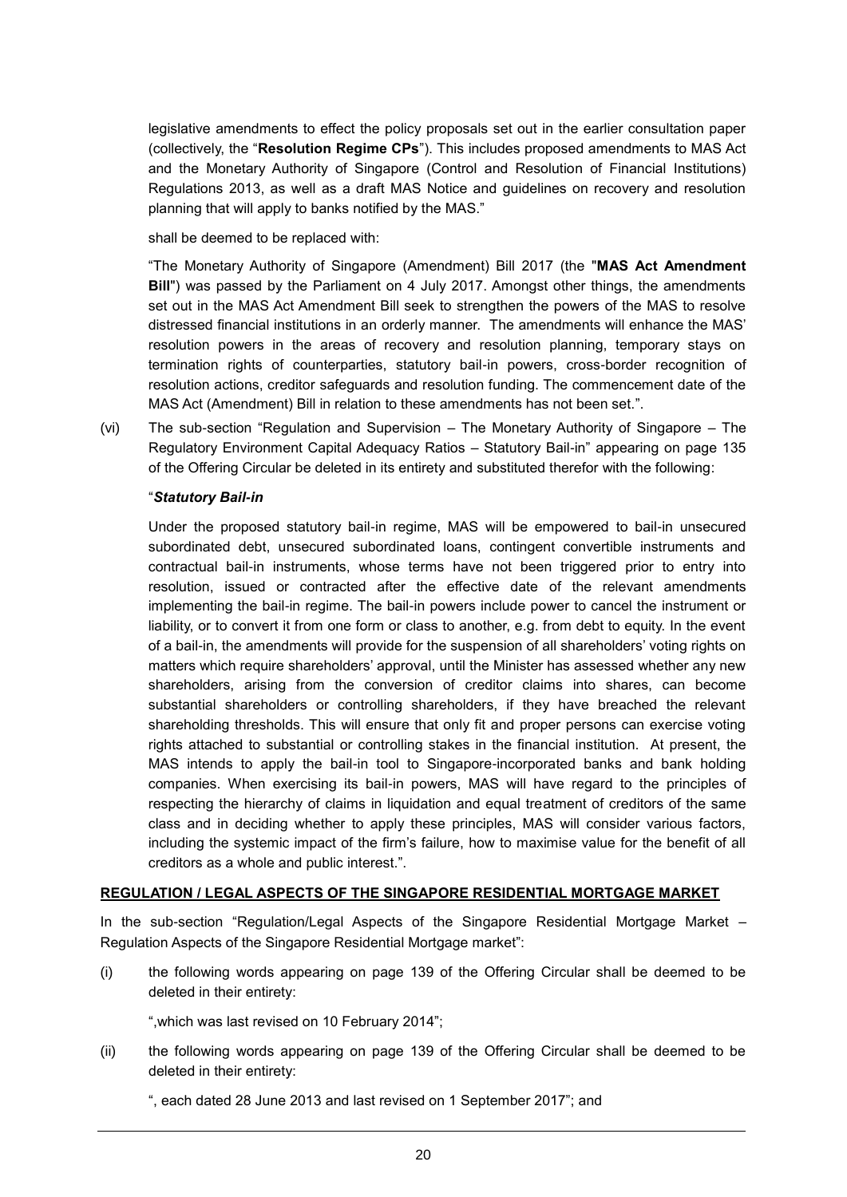legislative amendments to effect the policy proposals set out in the earlier consultation paper (collectively, the "**Resolution Regime CPs**"). This includes proposed amendments to MAS Act and the Monetary Authority of Singapore (Control and Resolution of Financial Institutions) Regulations 2013, as well as a draft MAS Notice and guidelines on recovery and resolution planning that will apply to banks notified by the MAS."

shall be deemed to be replaced with:

"The Monetary Authority of Singapore (Amendment) Bill 2017 (the "**MAS Act Amendment Bill**") was passed by the Parliament on 4 July 2017. Amongst other things, the amendments set out in the MAS Act Amendment Bill seek to strengthen the powers of the MAS to resolve distressed financial institutions in an orderly manner. The amendments will enhance the MAS' resolution powers in the areas of recovery and resolution planning, temporary stays on termination rights of counterparties, statutory bail-in powers, cross-border recognition of resolution actions, creditor safeguards and resolution funding. The commencement date of the MAS Act (Amendment) Bill in relation to these amendments has not been set.".

(vi) The sub-section "Regulation and Supervision – The Monetary Authority of Singapore – The Regulatory Environment Capital Adequacy Ratios – Statutory Bail-in" appearing on page 135 of the Offering Circular be deleted in its entirety and substituted therefor with the following:

### "*Statutory Bail-in*

Under the proposed statutory bail-in regime, MAS will be empowered to bail-in unsecured subordinated debt, unsecured subordinated loans, contingent convertible instruments and contractual bail-in instruments, whose terms have not been triggered prior to entry into resolution, issued or contracted after the effective date of the relevant amendments implementing the bail-in regime. The bail-in powers include power to cancel the instrument or liability, or to convert it from one form or class to another, e.g. from debt to equity. In the event of a bail-in, the amendments will provide for the suspension of all shareholders' voting rights on matters which require shareholders' approval, until the Minister has assessed whether any new shareholders, arising from the conversion of creditor claims into shares, can become substantial shareholders or controlling shareholders, if they have breached the relevant shareholding thresholds. This will ensure that only fit and proper persons can exercise voting rights attached to substantial or controlling stakes in the financial institution. At present, the MAS intends to apply the bail-in tool to Singapore-incorporated banks and bank holding companies. When exercising its bail-in powers, MAS will have regard to the principles of respecting the hierarchy of claims in liquidation and equal treatment of creditors of the same class and in deciding whether to apply these principles, MAS will consider various factors, including the systemic impact of the firm's failure, how to maximise value for the benefit of all creditors as a whole and public interest.".

#### **REGULATION / LEGAL ASPECTS OF THE SINGAPORE RESIDENTIAL MORTGAGE MARKET**

In the sub-section "Regulation/Legal Aspects of the Singapore Residential Mortgage Market *–* Regulation Aspects of the Singapore Residential Mortgage market":

(i) the following words appearing on page 139 of the Offering Circular shall be deemed to be deleted in their entirety:

",which was last revised on 10 February 2014";

(ii) the following words appearing on page 139 of the Offering Circular shall be deemed to be deleted in their entirety:

", each dated 28 June 2013 and last revised on 1 September 2017"; and